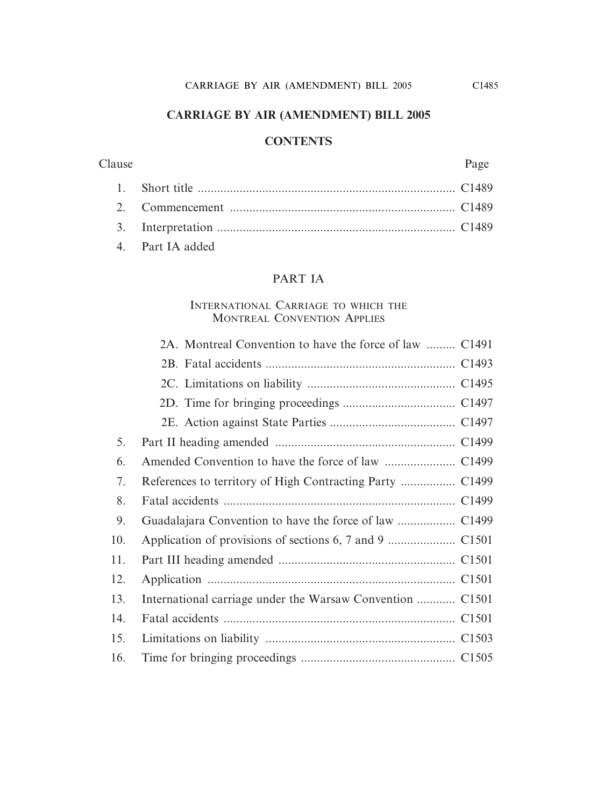# **CARRIAGE BY AIR (AMENDMENT) BILL 2005**

# **CONTENTS**

## Clause Page

| $\mathbf{r} = \mathbf{r} = \mathbf{r}$ , and the set of the set of the set of the set of the set of the set of the set of the set of the set of the set of the set of the set of the set of the set of the set of the set of the set of the s |  |
|-----------------------------------------------------------------------------------------------------------------------------------------------------------------------------------------------------------------------------------------------|--|

4. Part IA added

# PART IA

# INTERNATIONAL CARRIAGE TO WHICH THE MONTREAL CONVENTION APPLIES

|     | 2A. Montreal Convention to have the force of law  C1491 |  |
|-----|---------------------------------------------------------|--|
|     |                                                         |  |
|     |                                                         |  |
|     |                                                         |  |
|     |                                                         |  |
| 5.  |                                                         |  |
| 6.  |                                                         |  |
| 7.  |                                                         |  |
| 8.  |                                                         |  |
| 9.  |                                                         |  |
| 10. |                                                         |  |
| 11. |                                                         |  |
| 12. |                                                         |  |
| 13. |                                                         |  |
| 14. |                                                         |  |
| 15. |                                                         |  |
| 16. |                                                         |  |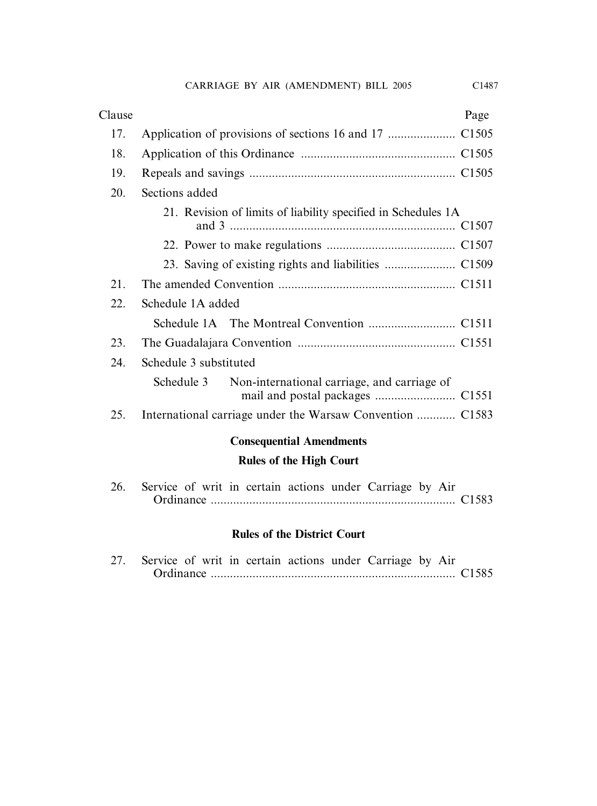| Page                                                          |  |  |  |  |  |  |
|---------------------------------------------------------------|--|--|--|--|--|--|
|                                                               |  |  |  |  |  |  |
|                                                               |  |  |  |  |  |  |
|                                                               |  |  |  |  |  |  |
| Sections added                                                |  |  |  |  |  |  |
| 21. Revision of limits of liability specified in Schedules 1A |  |  |  |  |  |  |
|                                                               |  |  |  |  |  |  |
|                                                               |  |  |  |  |  |  |
|                                                               |  |  |  |  |  |  |
| Schedule 1A added                                             |  |  |  |  |  |  |
|                                                               |  |  |  |  |  |  |
|                                                               |  |  |  |  |  |  |
| Schedule 3 substituted                                        |  |  |  |  |  |  |
| Non-international carriage, and carriage of<br>Schedule 3     |  |  |  |  |  |  |
| International carriage under the Warsaw Convention  C1583     |  |  |  |  |  |  |
| <b>Consequential Amendments</b>                               |  |  |  |  |  |  |
|                                                               |  |  |  |  |  |  |

# **Rules of the High Court**

|  |  |  |  | 26. Service of writ in certain actions under Carriage by Air |  |  |
|--|--|--|--|--------------------------------------------------------------|--|--|
|  |  |  |  |                                                              |  |  |

# **Rules of the District Court**

|  |  |  |  | 27. Service of writ in certain actions under Carriage by Air |  |  |
|--|--|--|--|--------------------------------------------------------------|--|--|
|  |  |  |  |                                                              |  |  |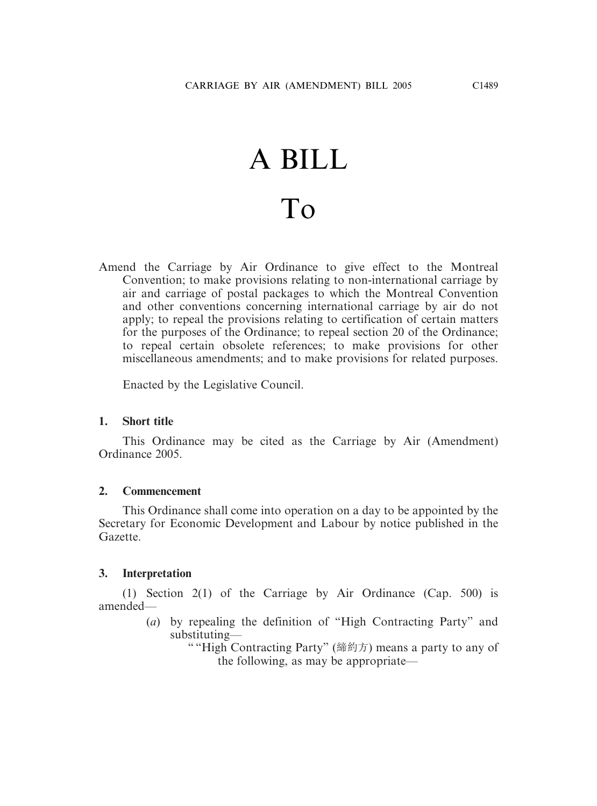# A BILL To

Amend the Carriage by Air Ordinance to give effect to the Montreal Convention; to make provisions relating to non-international carriage by air and carriage of postal packages to which the Montreal Convention and other conventions concerning international carriage by air do not apply; to repeal the provisions relating to certification of certain matters for the purposes of the Ordinance; to repeal section 20 of the Ordinance; to repeal certain obsolete references; to make provisions for other miscellaneous amendments; and to make provisions for related purposes.

Enacted by the Legislative Council.

## **1. Short title**

This Ordinance may be cited as the Carriage by Air (Amendment) Ordinance 2005.

## **2. Commencement**

This Ordinance shall come into operation on a day to be appointed by the Secretary for Economic Development and Labour by notice published in the Gazette.

## **3. Interpretation**

(1) Section 2(1) of the Carriage by Air Ordinance (Cap. 500) is amended—

- (*a*) by repealing the definition of "High Contracting Party" and substituting—
	- " "High Contracting Party" (締約方) means a party to any of the following, as may be appropriate—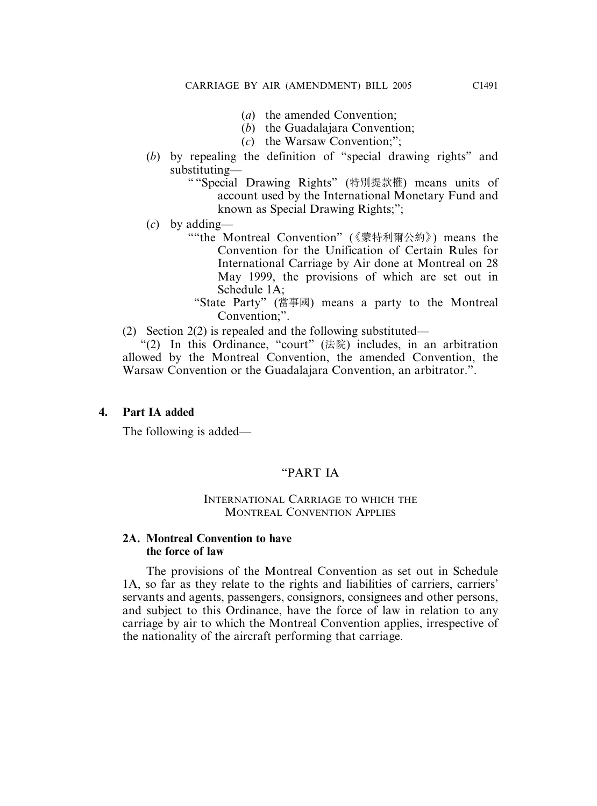- (*a*) the amended Convention;
- (*b*) the Guadalajara Convention;
- (*c*) the Warsaw Convention;";
- (*b*) by repealing the definition of "special drawing rights" and substituting—
	- " "Special Drawing Rights" (特別提款權) means units of account used by the International Monetary Fund and known as Special Drawing Rights;";
- (*c*) by adding—
	- ""the Montreal Convention" (《蒙特利爾公約》) means the Convention for the Unification of Certain Rules for International Carriage by Air done at Montreal on 28 May 1999, the provisions of which are set out in Schedule 1A;
		- "State Party" (當事國) means a party to the Montreal Convention;".
- (2) Section 2(2) is repealed and the following substituted—

"(2) In this Ordinance, "court" (法院) includes, in an arbitration allowed by the Montreal Convention, the amended Convention, the Warsaw Convention or the Guadalajara Convention, an arbitrator.".

## **4. Part IA added**

The following is added—

# "PART IA

## INTERNATIONAL CARRIAGE TO WHICH THE MONTREAL CONVENTION APPLIES

## **2A. Montreal Convention to have the force of law**

The provisions of the Montreal Convention as set out in Schedule 1A, so far as they relate to the rights and liabilities of carriers, carriers' servants and agents, passengers, consignors, consignees and other persons, and subject to this Ordinance, have the force of law in relation to any carriage by air to which the Montreal Convention applies, irrespective of the nationality of the aircraft performing that carriage.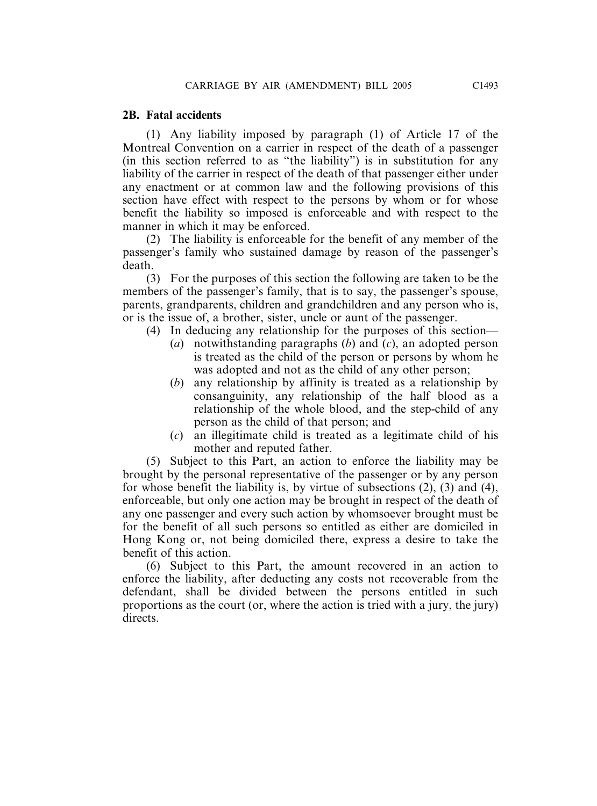## **2B. Fatal accidents**

(1) Any liability imposed by paragraph (1) of Article 17 of the Montreal Convention on a carrier in respect of the death of a passenger (in this section referred to as "the liability") is in substitution for any liability of the carrier in respect of the death of that passenger either under any enactment or at common law and the following provisions of this section have effect with respect to the persons by whom or for whose benefit the liability so imposed is enforceable and with respect to the manner in which it may be enforced.

(2) The liability is enforceable for the benefit of any member of the passenger's family who sustained damage by reason of the passenger's death.

(3) For the purposes of this section the following are taken to be the members of the passenger's family, that is to say, the passenger's spouse, parents, grandparents, children and grandchildren and any person who is, or is the issue of, a brother, sister, uncle or aunt of the passenger.

- (4) In deducing any relationship for the purposes of this section—
	- (*a*) notwithstanding paragraphs (*b*) and (*c*), an adopted person is treated as the child of the person or persons by whom he was adopted and not as the child of any other person;
	- (*b*) any relationship by affinity is treated as a relationship by consanguinity, any relationship of the half blood as a relationship of the whole blood, and the step-child of any person as the child of that person; and
	- (*c*) an illegitimate child is treated as a legitimate child of his mother and reputed father.

(5) Subject to this Part, an action to enforce the liability may be brought by the personal representative of the passenger or by any person for whose benefit the liability is, by virtue of subsections (2), (3) and (4), enforceable, but only one action may be brought in respect of the death of any one passenger and every such action by whomsoever brought must be for the benefit of all such persons so entitled as either are domiciled in Hong Kong or, not being domiciled there, express a desire to take the benefit of this action.

(6) Subject to this Part, the amount recovered in an action to enforce the liability, after deducting any costs not recoverable from the defendant, shall be divided between the persons entitled in such proportions as the court (or, where the action is tried with a jury, the jury) directs.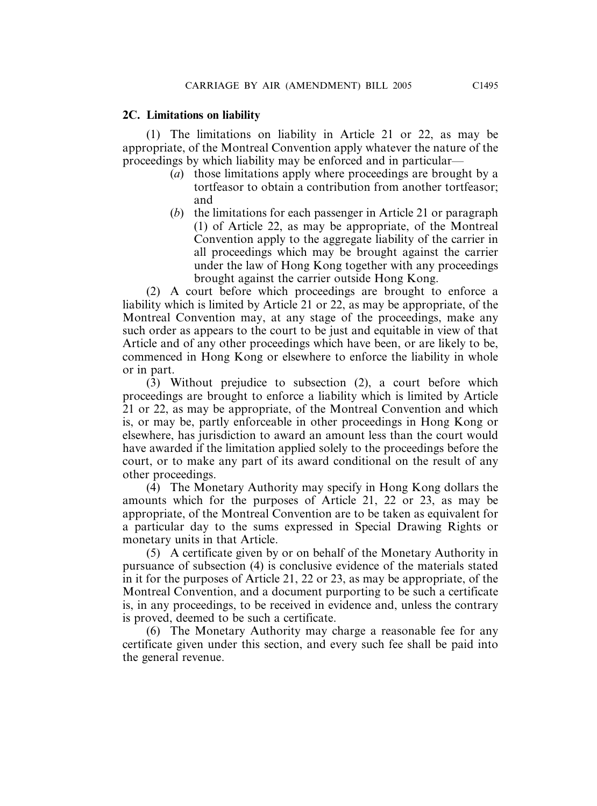# **2C. Limitations on liability**

(1) The limitations on liability in Article 21 or 22, as may be appropriate, of the Montreal Convention apply whatever the nature of the proceedings by which liability may be enforced and in particular—

- (*a*) those limitations apply where proceedings are brought by a tortfeasor to obtain a contribution from another tortfeasor; and
- (*b*) the limitations for each passenger in Article 21 or paragraph (1) of Article 22, as may be appropriate, of the Montreal Convention apply to the aggregate liability of the carrier in all proceedings which may be brought against the carrier under the law of Hong Kong together with any proceedings brought against the carrier outside Hong Kong.

(2) A court before which proceedings are brought to enforce a liability which is limited by Article 21 or 22, as may be appropriate, of the Montreal Convention may, at any stage of the proceedings, make any such order as appears to the court to be just and equitable in view of that Article and of any other proceedings which have been, or are likely to be, commenced in Hong Kong or elsewhere to enforce the liability in whole or in part.

(3) Without prejudice to subsection (2), a court before which proceedings are brought to enforce a liability which is limited by Article 21 or 22, as may be appropriate, of the Montreal Convention and which is, or may be, partly enforceable in other proceedings in Hong Kong or elsewhere, has jurisdiction to award an amount less than the court would have awarded if the limitation applied solely to the proceedings before the court, or to make any part of its award conditional on the result of any other proceedings.

(4) The Monetary Authority may specify in Hong Kong dollars the amounts which for the purposes of Article 21, 22 or 23, as may be appropriate, of the Montreal Convention are to be taken as equivalent for a particular day to the sums expressed in Special Drawing Rights or monetary units in that Article.

(5) A certificate given by or on behalf of the Monetary Authority in pursuance of subsection (4) is conclusive evidence of the materials stated in it for the purposes of Article 21, 22 or 23, as may be appropriate, of the Montreal Convention, and a document purporting to be such a certificate is, in any proceedings, to be received in evidence and, unless the contrary is proved, deemed to be such a certificate.

(6) The Monetary Authority may charge a reasonable fee for any certificate given under this section, and every such fee shall be paid into the general revenue.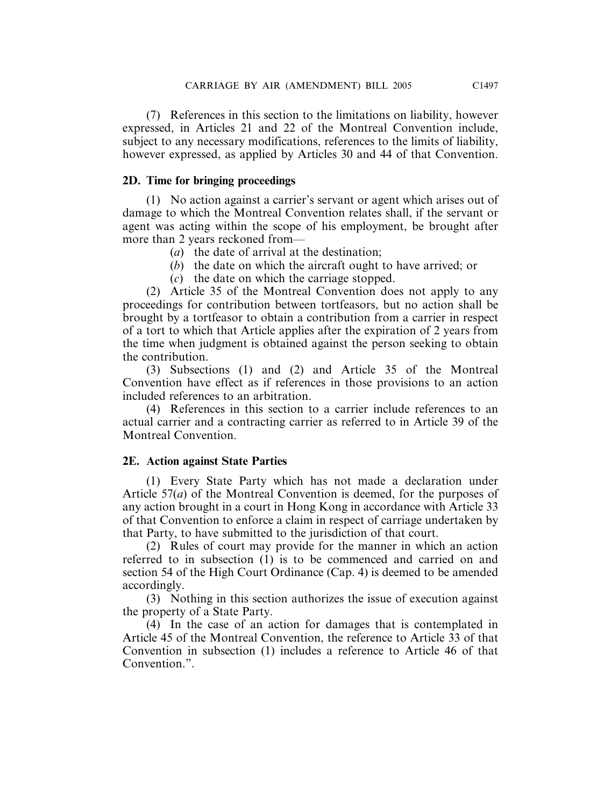(7) References in this section to the limitations on liability, however expressed, in Articles 21 and 22 of the Montreal Convention include, subject to any necessary modifications, references to the limits of liability, however expressed, as applied by Articles 30 and 44 of that Convention.

# **2D. Time for bringing proceedings**

(1) No action against a carrier's servant or agent which arises out of damage to which the Montreal Convention relates shall, if the servant or agent was acting within the scope of his employment, be brought after more than 2 years reckoned from—

- (*a*) the date of arrival at the destination;
- (*b*) the date on which the aircraft ought to have arrived; or
- (*c*) the date on which the carriage stopped.

(2) Article 35 of the Montreal Convention does not apply to any proceedings for contribution between tortfeasors, but no action shall be brought by a tortfeasor to obtain a contribution from a carrier in respect of a tort to which that Article applies after the expiration of 2 years from the time when judgment is obtained against the person seeking to obtain the contribution.

(3) Subsections (1) and (2) and Article 35 of the Montreal Convention have effect as if references in those provisions to an action included references to an arbitration.

(4) References in this section to a carrier include references to an actual carrier and a contracting carrier as referred to in Article 39 of the Montreal Convention.

# **2E. Action against State Parties**

(1) Every State Party which has not made a declaration under Article 57(*a*) of the Montreal Convention is deemed, for the purposes of any action brought in a court in Hong Kong in accordance with Article 33 of that Convention to enforce a claim in respect of carriage undertaken by that Party, to have submitted to the jurisdiction of that court.

(2) Rules of court may provide for the manner in which an action referred to in subsection (1) is to be commenced and carried on and section 54 of the High Court Ordinance (Cap. 4) is deemed to be amended accordingly.

(3) Nothing in this section authorizes the issue of execution against the property of a State Party.

(4) In the case of an action for damages that is contemplated in Article 45 of the Montreal Convention, the reference to Article 33 of that Convention in subsection (1) includes a reference to Article 46 of that Convention.".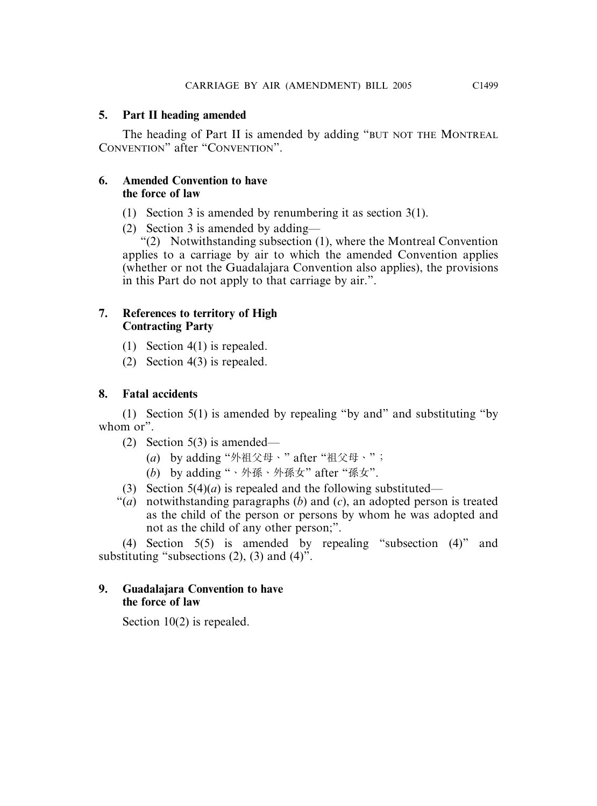# **5. Part II heading amended**

The heading of Part II is amended by adding "BUT NOT THE MONTREAL CONVENTION" after "CONVENTION".

## **6. Amended Convention to have the force of law**

- (1) Section 3 is amended by renumbering it as section 3(1).
- (2) Section 3 is amended by adding—

"(2) Notwithstanding subsection (1), where the Montreal Convention applies to a carriage by air to which the amended Convention applies (whether or not the Guadalajara Convention also applies), the provisions in this Part do not apply to that carriage by air.".

# **7. References to territory of High Contracting Party**

- (1) Section 4(1) is repealed.
- (2) Section 4(3) is repealed.

# **8. Fatal accidents**

(1) Section 5(1) is amended by repealing "by and" and substituting "by whom or".

- (2) Section 5(3) is amended—
	- (*a*) by adding "外祖父母、" after "祖父母、";
	- (*b*) by adding "、外孫、外孫女" after "孫女".
- (3) Section 5(4)(*a*) is repealed and the following substituted—
- "(*a*) notwithstanding paragraphs (*b*) and (*c*), an adopted person is treated as the child of the person or persons by whom he was adopted and not as the child of any other person;".

(4) Section 5(5) is amended by repealing "subsection (4)" and substituting "subsections  $(2)$ ,  $(3)$  and  $(4)$ ".

# **9. Guadalajara Convention to have the force of law**

Section 10(2) is repealed.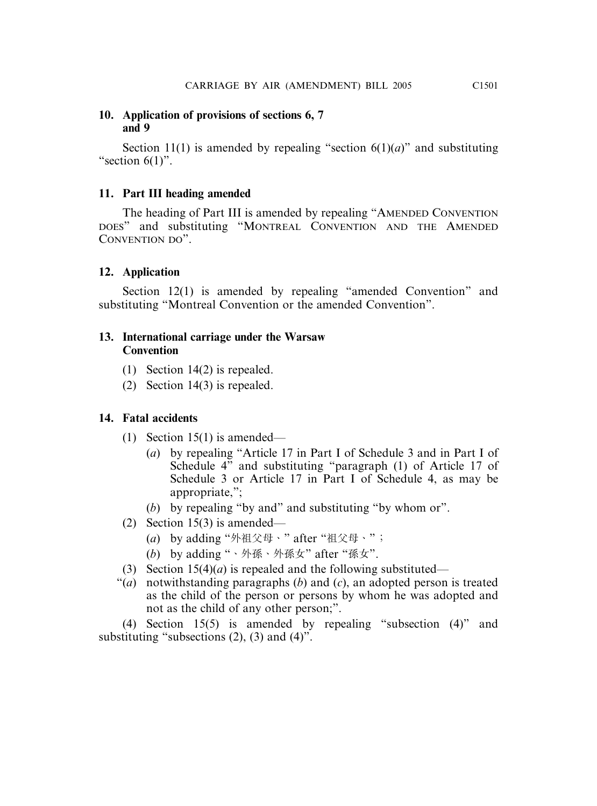# **10. Application of provisions of sections 6, 7 and 9**

Section 11(1) is amended by repealing "section  $6(1)(a)$ " and substituting "section  $6(1)$ ".

# **11. Part III heading amended**

The heading of Part III is amended by repealing "AMENDED CONVENTION DOES" and substituting "MONTREAL CONVENTION AND THE AMENDED CONVENTION DO".

# **12. Application**

Section 12(1) is amended by repealing "amended Convention" and substituting "Montreal Convention or the amended Convention".

# **13. International carriage under the Warsaw Convention**

- (1) Section 14(2) is repealed.
- (2) Section 14(3) is repealed.

# **14. Fatal accidents**

- (1) Section 15(1) is amended—
	- (*a*) by repealing "Article 17 in Part I of Schedule 3 and in Part I of Schedule 4<sup>"</sup> and substituting "paragraph (1) of Article 17 of Schedule 3 or Article 17 in Part I of Schedule 4, as may be appropriate,";
	- (*b*) by repealing "by and" and substituting "by whom or".
- (2) Section 15(3) is amended—
	- (*a*) by adding "外祖父母、" after "祖父母、";
	- (*b*) by adding "、外孫、外孫女" after "孫女".
- (3) Section 15(4)(*a*) is repealed and the following substituted—
- "(*a*) notwithstanding paragraphs (*b*) and (*c*), an adopted person is treated as the child of the person or persons by whom he was adopted and not as the child of any other person;".

(4) Section 15(5) is amended by repealing "subsection (4)" and substituting "subsections  $(2)$ ,  $(3)$  and  $(4)$ ".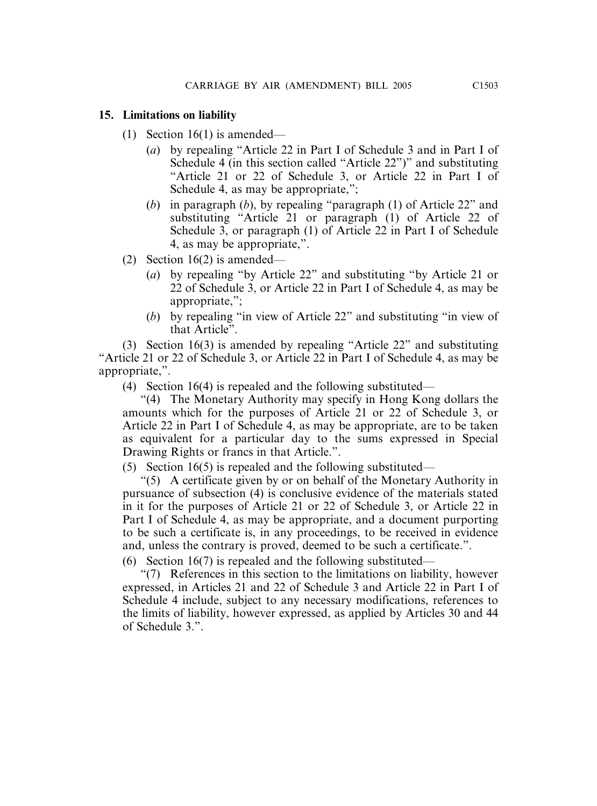# **15. Limitations on liability**

- (1) Section 16(1) is amended—
	- (*a*) by repealing "Article 22 in Part I of Schedule 3 and in Part I of Schedule 4 (in this section called "Article 22")" and substituting "Article 21 or 22 of Schedule 3, or Article 22 in Part I of Schedule 4, as may be appropriate,";
	- (*b*) in paragraph (*b*), by repealing "paragraph (1) of Article 22" and substituting "Article 21 or paragraph (1) of Article 22 of Schedule 3, or paragraph (1) of Article 22 in Part I of Schedule 4, as may be appropriate,".
- (2) Section 16(2) is amended—
	- (*a*) by repealing "by Article 22" and substituting "by Article 21 or 22 of Schedule 3, or Article 22 in Part I of Schedule 4, as may be appropriate,";
	- (*b*) by repealing "in view of Article 22" and substituting "in view of that Article".

(3) Section 16(3) is amended by repealing "Article 22" and substituting "Article 21 or 22 of Schedule 3, or Article 22 in Part I of Schedule 4, as may be appropriate,".

(4) Section 16(4) is repealed and the following substituted—

"(4) The Monetary Authority may specify in Hong Kong dollars the amounts which for the purposes of Article 21 or 22 of Schedule 3, or Article 22 in Part I of Schedule 4, as may be appropriate, are to be taken as equivalent for a particular day to the sums expressed in Special Drawing Rights or francs in that Article.".

(5) Section 16(5) is repealed and the following substituted—

"(5) A certificate given by or on behalf of the Monetary Authority in pursuance of subsection (4) is conclusive evidence of the materials stated in it for the purposes of Article 21 or 22 of Schedule 3, or Article 22 in Part I of Schedule 4, as may be appropriate, and a document purporting to be such a certificate is, in any proceedings, to be received in evidence and, unless the contrary is proved, deemed to be such a certificate.".

(6) Section 16(7) is repealed and the following substituted—

"(7) References in this section to the limitations on liability, however expressed, in Articles 21 and 22 of Schedule 3 and Article 22 in Part I of Schedule 4 include, subject to any necessary modifications, references to the limits of liability, however expressed, as applied by Articles 30 and 44 of Schedule 3.".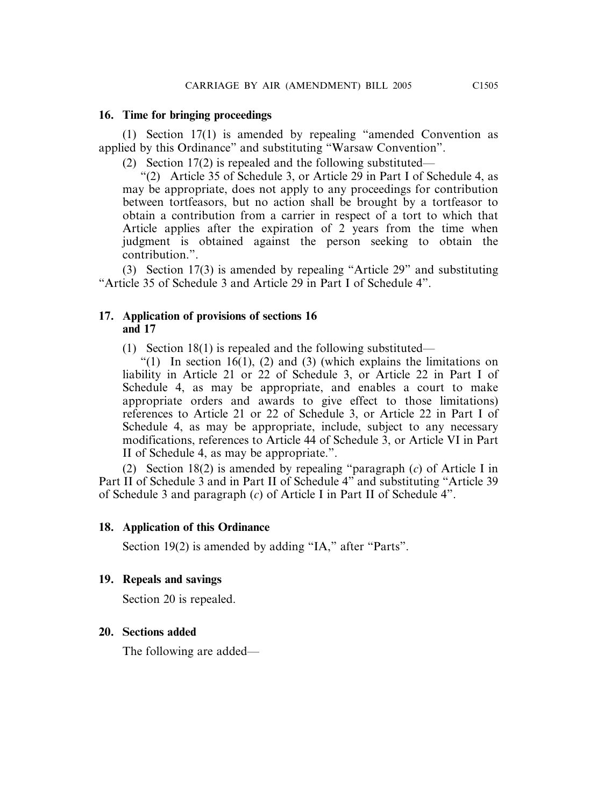# **16. Time for bringing proceedings**

(1) Section 17(1) is amended by repealing "amended Convention as applied by this Ordinance" and substituting "Warsaw Convention".

(2) Section 17(2) is repealed and the following substituted—

"(2) Article 35 of Schedule 3, or Article 29 in Part I of Schedule 4, as may be appropriate, does not apply to any proceedings for contribution between tortfeasors, but no action shall be brought by a tortfeasor to obtain a contribution from a carrier in respect of a tort to which that Article applies after the expiration of 2 years from the time when judgment is obtained against the person seeking to obtain the contribution.".

(3) Section 17(3) is amended by repealing "Article 29" and substituting "Article 35 of Schedule 3 and Article 29 in Part I of Schedule 4".

## **17. Application of provisions of sections 16 and 17**

(1) Section 18(1) is repealed and the following substituted—

"(1) In section 16(1), (2) and (3) (which explains the limitations on liability in Article 21 or 22 of Schedule 3, or Article 22 in Part I of Schedule 4, as may be appropriate, and enables a court to make appropriate orders and awards to give effect to those limitations) references to Article 21 or 22 of Schedule 3, or Article 22 in Part I of Schedule 4, as may be appropriate, include, subject to any necessary modifications, references to Article 44 of Schedule 3, or Article VI in Part II of Schedule 4, as may be appropriate.".

(2) Section 18(2) is amended by repealing "paragraph (*c*) of Article I in Part II of Schedule 3 and in Part II of Schedule 4" and substituting "Article 39 of Schedule 3 and paragraph (*c*) of Article I in Part II of Schedule 4".

# **18. Application of this Ordinance**

Section 19(2) is amended by adding "IA," after "Parts".

# **19. Repeals and savings**

Section 20 is repealed.

# **20. Sections added**

The following are added—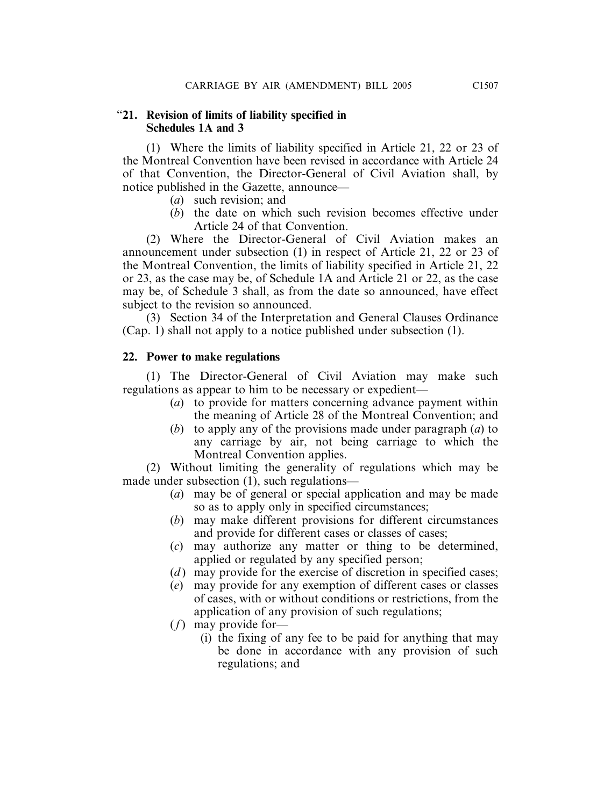# "**21. Revision of limits of liability specified in Schedules 1A and 3**

(1) Where the limits of liability specified in Article 21, 22 or 23 of the Montreal Convention have been revised in accordance with Article 24 of that Convention, the Director-General of Civil Aviation shall, by notice published in the Gazette, announce—

- (*a*) such revision; and
- (*b*) the date on which such revision becomes effective under Article 24 of that Convention.

(2) Where the Director-General of Civil Aviation makes an announcement under subsection (1) in respect of Article 21, 22 or 23 of the Montreal Convention, the limits of liability specified in Article 21, 22 or 23, as the case may be, of Schedule 1A and Article 21 or 22, as the case may be, of Schedule 3 shall, as from the date so announced, have effect subject to the revision so announced.

(3) Section 34 of the Interpretation and General Clauses Ordinance (Cap. 1) shall not apply to a notice published under subsection (1).

# **22. Power to make regulations**

(1) The Director-General of Civil Aviation may make such regulations as appear to him to be necessary or expedient—

- (*a*) to provide for matters concerning advance payment within the meaning of Article 28 of the Montreal Convention; and
- (*b*) to apply any of the provisions made under paragraph (*a*) to any carriage by air, not being carriage to which the Montreal Convention applies.

(2) Without limiting the generality of regulations which may be made under subsection (1), such regulations—

- (*a*) may be of general or special application and may be made so as to apply only in specified circumstances;
- (*b*) may make different provisions for different circumstances and provide for different cases or classes of cases;
- (*c*) may authorize any matter or thing to be determined, applied or regulated by any specified person;
- $(d)$  may provide for the exercise of discretion in specified cases;
- (*e*) may provide for any exemption of different cases or classes of cases, with or without conditions or restrictions, from the application of any provision of such regulations;
- (*f*) may provide for—
	- (i) the fixing of any fee to be paid for anything that may be done in accordance with any provision of such regulations; and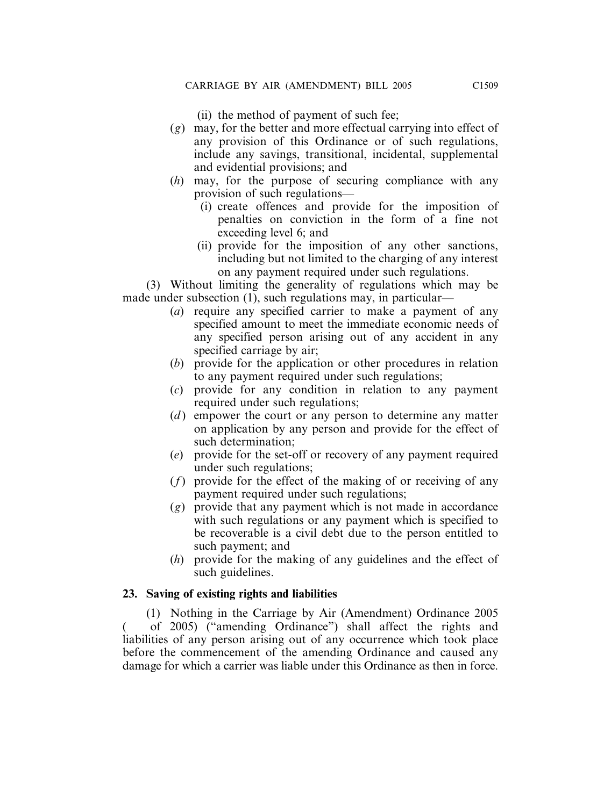(ii) the method of payment of such fee;

- (*g*) may, for the better and more effectual carrying into effect of any provision of this Ordinance or of such regulations, include any savings, transitional, incidental, supplemental and evidential provisions; and
- (*h*) may, for the purpose of securing compliance with any provision of such regulations—
	- (i) create offences and provide for the imposition of penalties on conviction in the form of a fine not exceeding level 6; and
	- (ii) provide for the imposition of any other sanctions, including but not limited to the charging of any interest on any payment required under such regulations.

(3) Without limiting the generality of regulations which may be made under subsection (1), such regulations may, in particular—

- (*a*) require any specified carrier to make a payment of any specified amount to meet the immediate economic needs of any specified person arising out of any accident in any specified carriage by air;
- (*b*) provide for the application or other procedures in relation to any payment required under such regulations;
- (*c*) provide for any condition in relation to any payment required under such regulations;
- (*d*) empower the court or any person to determine any matter on application by any person and provide for the effect of such determination;
- (*e*) provide for the set-off or recovery of any payment required under such regulations;
- (*f*) provide for the effect of the making of or receiving of any payment required under such regulations;
- (*g*) provide that any payment which is not made in accordance with such regulations or any payment which is specified to be recoverable is a civil debt due to the person entitled to such payment; and
- (*h*) provide for the making of any guidelines and the effect of such guidelines.

# **23. Saving of existing rights and liabilities**

(1) Nothing in the Carriage by Air (Amendment) Ordinance 2005 ( of 2005) ("amending Ordinance") shall affect the rights and liabilities of any person arising out of any occurrence which took place before the commencement of the amending Ordinance and caused any damage for which a carrier was liable under this Ordinance as then in force.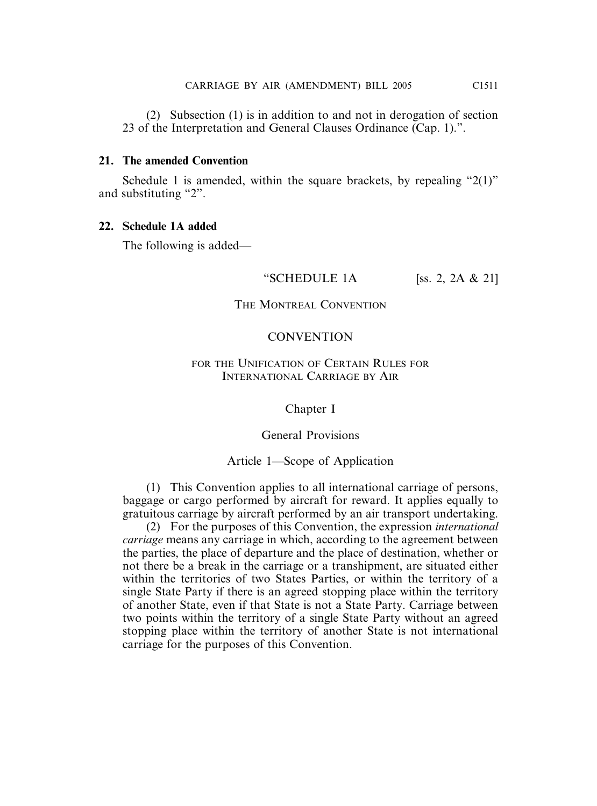(2) Subsection (1) is in addition to and not in derogation of section 23 of the Interpretation and General Clauses Ordinance (Cap. 1).".

#### **21. The amended Convention**

Schedule 1 is amended, within the square brackets, by repealing "2(1)" and substituting "2".

## **22. Schedule 1A added**

The following is added—

# "SCHEDULE 1A [ss. 2, 2A  $& 21$ ]

## THE MONTREAL CONVENTION

# **CONVENTION**

# FOR THE UNIFICATION OF CERTAIN RULES FOR INTERNATIONAL CARRIAGE BY AIR

Chapter I

General Provisions

Article 1—Scope of Application

(1) This Convention applies to all international carriage of persons, baggage or cargo performed by aircraft for reward. It applies equally to gratuitous carriage by aircraft performed by an air transport undertaking.

(2) For the purposes of this Convention, the expression *international carriage* means any carriage in which, according to the agreement between the parties, the place of departure and the place of destination, whether or not there be a break in the carriage or a transhipment, are situated either within the territories of two States Parties, or within the territory of a single State Party if there is an agreed stopping place within the territory of another State, even if that State is not a State Party. Carriage between two points within the territory of a single State Party without an agreed stopping place within the territory of another State is not international carriage for the purposes of this Convention.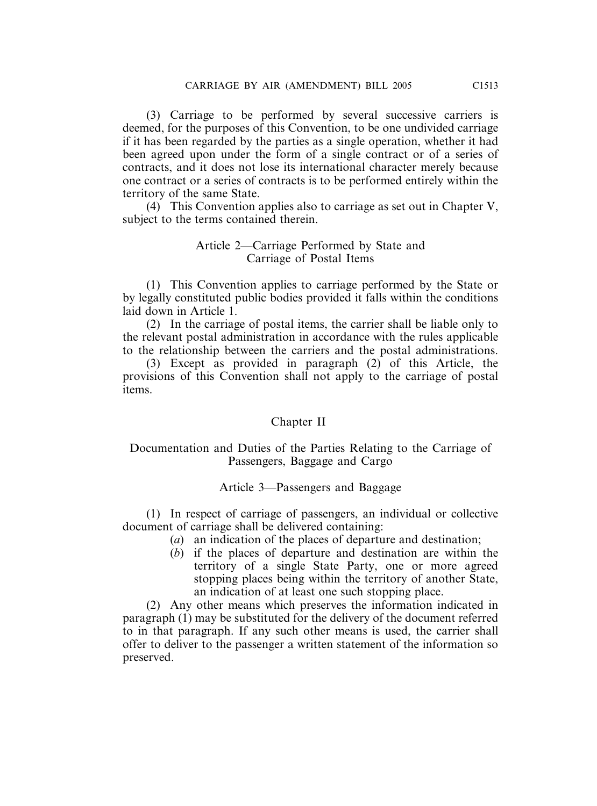(3) Carriage to be performed by several successive carriers is deemed, for the purposes of this Convention, to be one undivided carriage if it has been regarded by the parties as a single operation, whether it had been agreed upon under the form of a single contract or of a series of contracts, and it does not lose its international character merely because one contract or a series of contracts is to be performed entirely within the territory of the same State.

(4) This Convention applies also to carriage as set out in Chapter V, subject to the terms contained therein.

# Article 2—Carriage Performed by State and Carriage of Postal Items

(1) This Convention applies to carriage performed by the State or by legally constituted public bodies provided it falls within the conditions laid down in Article 1.

(2) In the carriage of postal items, the carrier shall be liable only to the relevant postal administration in accordance with the rules applicable to the relationship between the carriers and the postal administrations.

(3) Except as provided in paragraph (2) of this Article, the provisions of this Convention shall not apply to the carriage of postal items.

# Chapter II

# Documentation and Duties of the Parties Relating to the Carriage of Passengers, Baggage and Cargo

Article 3—Passengers and Baggage

(1) In respect of carriage of passengers, an individual or collective document of carriage shall be delivered containing:

- (*a*) an indication of the places of departure and destination;
- (*b*) if the places of departure and destination are within the territory of a single State Party, one or more agreed stopping places being within the territory of another State, an indication of at least one such stopping place.

(2) Any other means which preserves the information indicated in paragraph (1) may be substituted for the delivery of the document referred to in that paragraph. If any such other means is used, the carrier shall offer to deliver to the passenger a written statement of the information so preserved.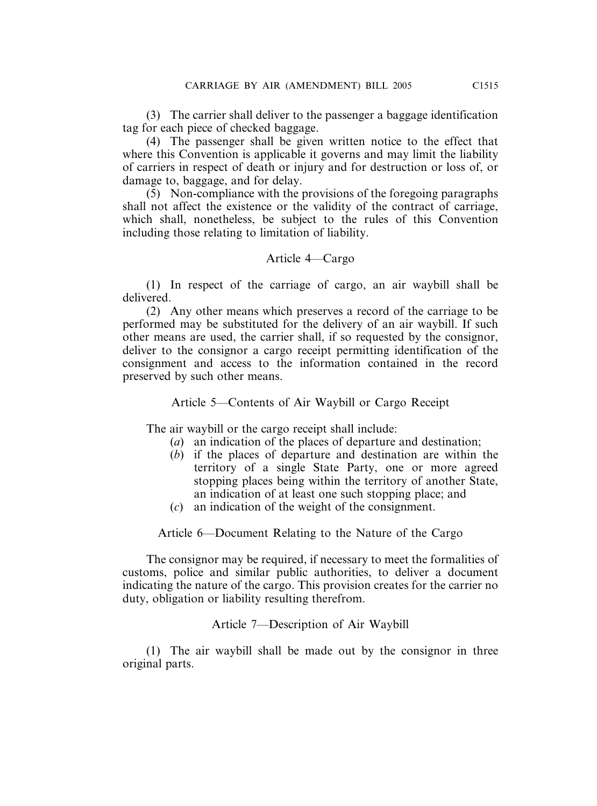(3) The carrier shall deliver to the passenger a baggage identification tag for each piece of checked baggage.

(4) The passenger shall be given written notice to the effect that where this Convention is applicable it governs and may limit the liability of carriers in respect of death or injury and for destruction or loss of, or damage to, baggage, and for delay.

(5) Non-compliance with the provisions of the foregoing paragraphs shall not affect the existence or the validity of the contract of carriage, which shall, nonetheless, be subject to the rules of this Convention including those relating to limitation of liability.

# Article 4—Cargo

(1) In respect of the carriage of cargo, an air waybill shall be delivered.

(2) Any other means which preserves a record of the carriage to be performed may be substituted for the delivery of an air waybill. If such other means are used, the carrier shall, if so requested by the consignor, deliver to the consignor a cargo receipt permitting identification of the consignment and access to the information contained in the record preserved by such other means.

Article 5—Contents of Air Waybill or Cargo Receipt

The air waybill or the cargo receipt shall include:

- (*a*) an indication of the places of departure and destination;
- (*b*) if the places of departure and destination are within the territory of a single State Party, one or more agreed stopping places being within the territory of another State, an indication of at least one such stopping place; and
- (*c*) an indication of the weight of the consignment.

Article 6—Document Relating to the Nature of the Cargo

The consignor may be required, if necessary to meet the formalities of customs, police and similar public authorities, to deliver a document indicating the nature of the cargo. This provision creates for the carrier no duty, obligation or liability resulting therefrom.

Article 7—Description of Air Waybill

(1) The air waybill shall be made out by the consignor in three original parts.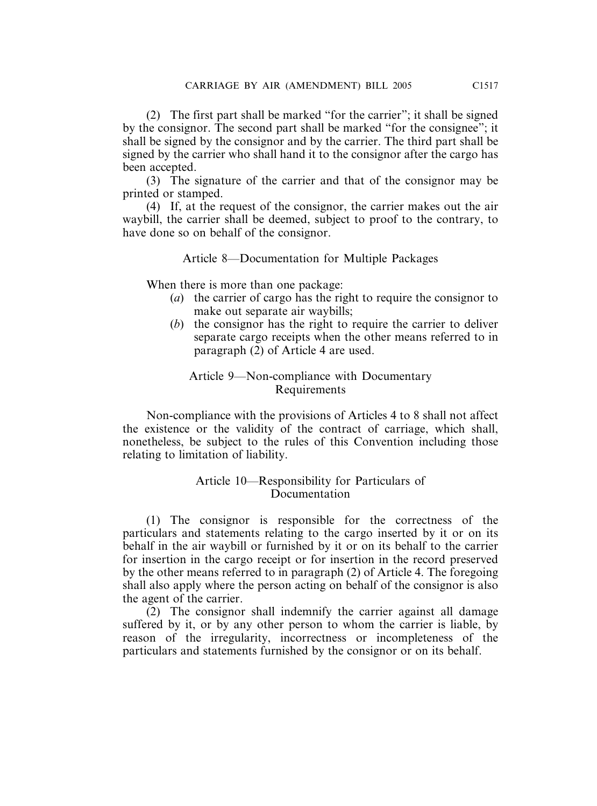(2) The first part shall be marked "for the carrier"; it shall be signed by the consignor. The second part shall be marked "for the consignee"; it shall be signed by the consignor and by the carrier. The third part shall be signed by the carrier who shall hand it to the consignor after the cargo has been accepted.

(3) The signature of the carrier and that of the consignor may be printed or stamped.

(4) If, at the request of the consignor, the carrier makes out the air waybill, the carrier shall be deemed, subject to proof to the contrary, to have done so on behalf of the consignor.

Article 8—Documentation for Multiple Packages

When there is more than one package:

- (*a*) the carrier of cargo has the right to require the consignor to make out separate air waybills;
- (*b*) the consignor has the right to require the carrier to deliver separate cargo receipts when the other means referred to in paragraph (2) of Article 4 are used.

# Article 9—Non-compliance with Documentary Requirements

Non-compliance with the provisions of Articles 4 to 8 shall not affect the existence or the validity of the contract of carriage, which shall, nonetheless, be subject to the rules of this Convention including those relating to limitation of liability.

# Article 10—Responsibility for Particulars of Documentation

(1) The consignor is responsible for the correctness of the particulars and statements relating to the cargo inserted by it or on its behalf in the air waybill or furnished by it or on its behalf to the carrier for insertion in the cargo receipt or for insertion in the record preserved by the other means referred to in paragraph (2) of Article 4. The foregoing shall also apply where the person acting on behalf of the consignor is also the agent of the carrier.

(2) The consignor shall indemnify the carrier against all damage suffered by it, or by any other person to whom the carrier is liable, by reason of the irregularity, incorrectness or incompleteness of the particulars and statements furnished by the consignor or on its behalf.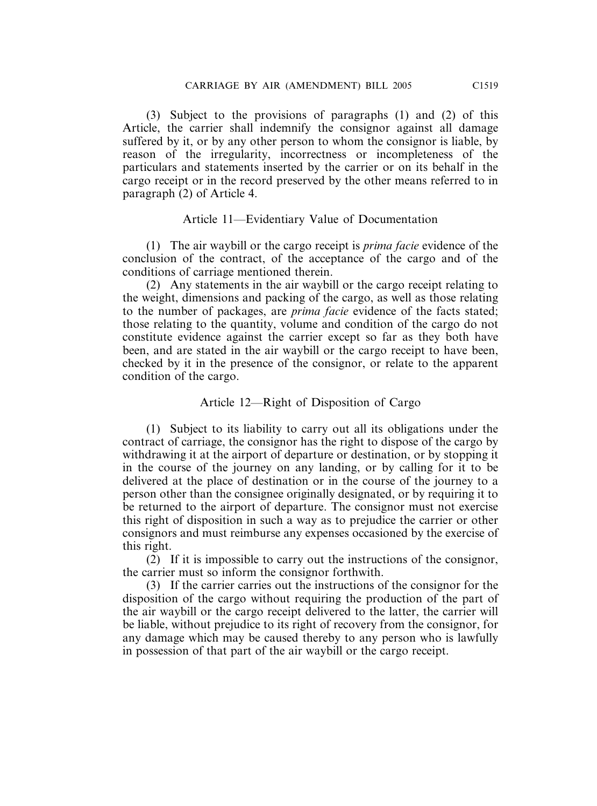(3) Subject to the provisions of paragraphs (1) and (2) of this Article, the carrier shall indemnify the consignor against all damage suffered by it, or by any other person to whom the consignor is liable, by reason of the irregularity, incorrectness or incompleteness of the particulars and statements inserted by the carrier or on its behalf in the cargo receipt or in the record preserved by the other means referred to in paragraph (2) of Article 4.

## Article 11—Evidentiary Value of Documentation

(1) The air waybill or the cargo receipt is *prima facie* evidence of the conclusion of the contract, of the acceptance of the cargo and of the conditions of carriage mentioned therein.

(2) Any statements in the air waybill or the cargo receipt relating to the weight, dimensions and packing of the cargo, as well as those relating to the number of packages, are *prima facie* evidence of the facts stated; those relating to the quantity, volume and condition of the cargo do not constitute evidence against the carrier except so far as they both have been, and are stated in the air waybill or the cargo receipt to have been, checked by it in the presence of the consignor, or relate to the apparent condition of the cargo.

# Article 12—Right of Disposition of Cargo

(1) Subject to its liability to carry out all its obligations under the contract of carriage, the consignor has the right to dispose of the cargo by withdrawing it at the airport of departure or destination, or by stopping it in the course of the journey on any landing, or by calling for it to be delivered at the place of destination or in the course of the journey to a person other than the consignee originally designated, or by requiring it to be returned to the airport of departure. The consignor must not exercise this right of disposition in such a way as to prejudice the carrier or other consignors and must reimburse any expenses occasioned by the exercise of this right.

(2) If it is impossible to carry out the instructions of the consignor, the carrier must so inform the consignor forthwith.

(3) If the carrier carries out the instructions of the consignor for the disposition of the cargo without requiring the production of the part of the air waybill or the cargo receipt delivered to the latter, the carrier will be liable, without prejudice to its right of recovery from the consignor, for any damage which may be caused thereby to any person who is lawfully in possession of that part of the air waybill or the cargo receipt.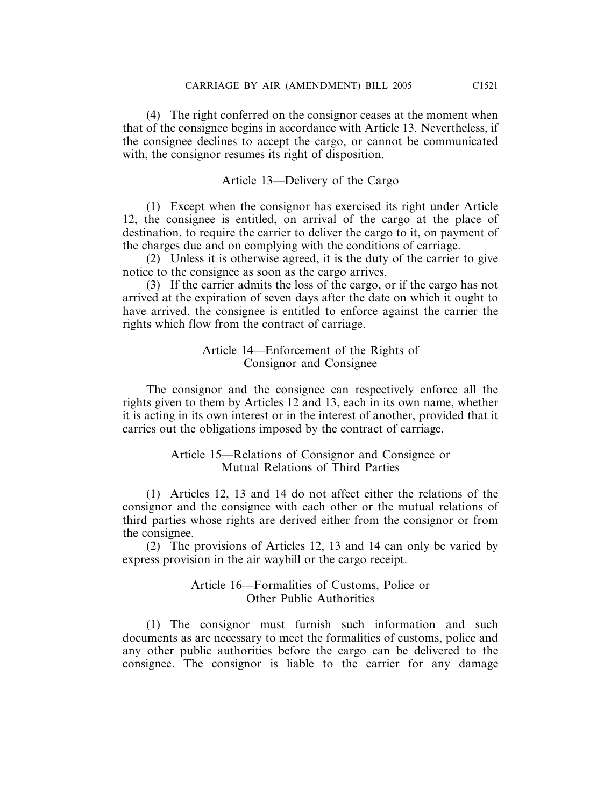(4) The right conferred on the consignor ceases at the moment when that of the consignee begins in accordance with Article 13. Nevertheless, if the consignee declines to accept the cargo, or cannot be communicated with, the consignor resumes its right of disposition.

Article 13—Delivery of the Cargo

(1) Except when the consignor has exercised its right under Article 12, the consignee is entitled, on arrival of the cargo at the place of destination, to require the carrier to deliver the cargo to it, on payment of the charges due and on complying with the conditions of carriage.

(2) Unless it is otherwise agreed, it is the duty of the carrier to give notice to the consignee as soon as the cargo arrives.

(3) If the carrier admits the loss of the cargo, or if the cargo has not arrived at the expiration of seven days after the date on which it ought to have arrived, the consignee is entitled to enforce against the carrier the rights which flow from the contract of carriage.

# Article 14—Enforcement of the Rights of Consignor and Consignee

The consignor and the consignee can respectively enforce all the rights given to them by Articles 12 and 13, each in its own name, whether it is acting in its own interest or in the interest of another, provided that it carries out the obligations imposed by the contract of carriage.

> Article 15—Relations of Consignor and Consignee or Mutual Relations of Third Parties

(1) Articles 12, 13 and 14 do not affect either the relations of the consignor and the consignee with each other or the mutual relations of third parties whose rights are derived either from the consignor or from the consignee.

(2) The provisions of Articles 12, 13 and 14 can only be varied by express provision in the air waybill or the cargo receipt.

# Article 16—Formalities of Customs, Police or Other Public Authorities

(1) The consignor must furnish such information and such documents as are necessary to meet the formalities of customs, police and any other public authorities before the cargo can be delivered to the consignee. The consignor is liable to the carrier for any damage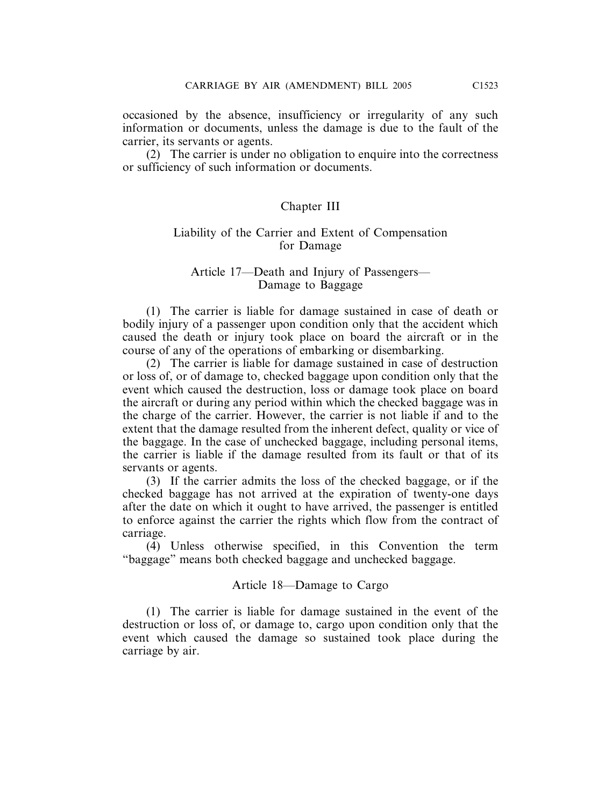occasioned by the absence, insufficiency or irregularity of any such information or documents, unless the damage is due to the fault of the carrier, its servants or agents.

(2) The carrier is under no obligation to enquire into the correctness or sufficiency of such information or documents.

# Chapter III

# Liability of the Carrier and Extent of Compensation for Damage

# Article 17—Death and Injury of Passengers— Damage to Baggage

(1) The carrier is liable for damage sustained in case of death or bodily injury of a passenger upon condition only that the accident which caused the death or injury took place on board the aircraft or in the course of any of the operations of embarking or disembarking.

(2) The carrier is liable for damage sustained in case of destruction or loss of, or of damage to, checked baggage upon condition only that the event which caused the destruction, loss or damage took place on board the aircraft or during any period within which the checked baggage was in the charge of the carrier. However, the carrier is not liable if and to the extent that the damage resulted from the inherent defect, quality or vice of the baggage. In the case of unchecked baggage, including personal items, the carrier is liable if the damage resulted from its fault or that of its servants or agents.

(3) If the carrier admits the loss of the checked baggage, or if the checked baggage has not arrived at the expiration of twenty-one days after the date on which it ought to have arrived, the passenger is entitled to enforce against the carrier the rights which flow from the contract of carriage.

(4) Unless otherwise specified, in this Convention the term "baggage" means both checked baggage and unchecked baggage.

## Article 18—Damage to Cargo

(1) The carrier is liable for damage sustained in the event of the destruction or loss of, or damage to, cargo upon condition only that the event which caused the damage so sustained took place during the carriage by air.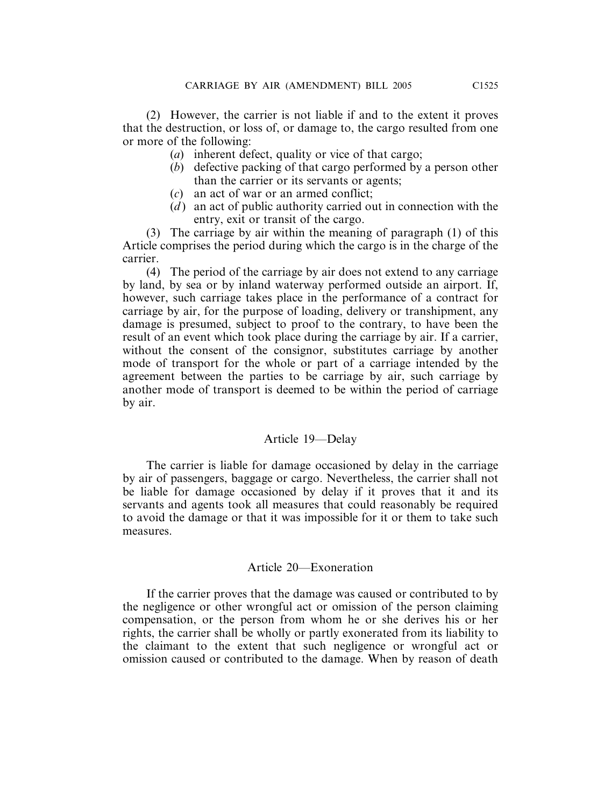(2) However, the carrier is not liable if and to the extent it proves that the destruction, or loss of, or damage to, the cargo resulted from one or more of the following:

- (*a*) inherent defect, quality or vice of that cargo;
- (*b*) defective packing of that cargo performed by a person other than the carrier or its servants or agents;
- (*c*) an act of war or an armed conflict;
- (*d* ) an act of public authority carried out in connection with the entry, exit or transit of the cargo.

(3) The carriage by air within the meaning of paragraph (1) of this Article comprises the period during which the cargo is in the charge of the carrier.

(4) The period of the carriage by air does not extend to any carriage by land, by sea or by inland waterway performed outside an airport. If, however, such carriage takes place in the performance of a contract for carriage by air, for the purpose of loading, delivery or transhipment, any damage is presumed, subject to proof to the contrary, to have been the result of an event which took place during the carriage by air. If a carrier, without the consent of the consignor, substitutes carriage by another mode of transport for the whole or part of a carriage intended by the agreement between the parties to be carriage by air, such carriage by another mode of transport is deemed to be within the period of carriage by air.

# Article 19—Delay

The carrier is liable for damage occasioned by delay in the carriage by air of passengers, baggage or cargo. Nevertheless, the carrier shall not be liable for damage occasioned by delay if it proves that it and its servants and agents took all measures that could reasonably be required to avoid the damage or that it was impossible for it or them to take such measures.

# Article 20—Exoneration

If the carrier proves that the damage was caused or contributed to by the negligence or other wrongful act or omission of the person claiming compensation, or the person from whom he or she derives his or her rights, the carrier shall be wholly or partly exonerated from its liability to the claimant to the extent that such negligence or wrongful act or omission caused or contributed to the damage. When by reason of death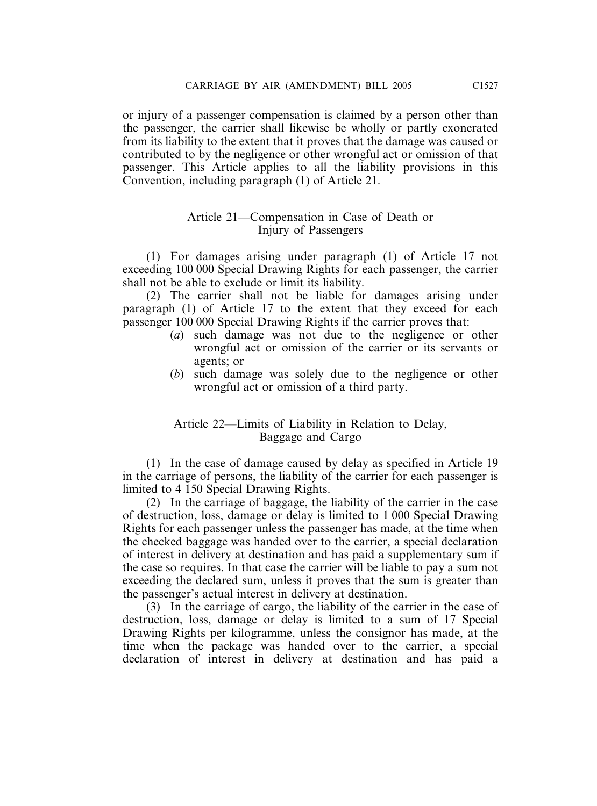or injury of a passenger compensation is claimed by a person other than the passenger, the carrier shall likewise be wholly or partly exonerated from its liability to the extent that it proves that the damage was caused or contributed to by the negligence or other wrongful act or omission of that passenger. This Article applies to all the liability provisions in this Convention, including paragraph (1) of Article 21.

# Article 21—Compensation in Case of Death or Injury of Passengers

(1) For damages arising under paragraph (1) of Article 17 not exceeding 100 000 Special Drawing Rights for each passenger, the carrier shall not be able to exclude or limit its liability.

(2) The carrier shall not be liable for damages arising under paragraph (1) of Article 17 to the extent that they exceed for each passenger 100 000 Special Drawing Rights if the carrier proves that:

- (*a*) such damage was not due to the negligence or other wrongful act or omission of the carrier or its servants or agents; or
- (*b*) such damage was solely due to the negligence or other wrongful act or omission of a third party.

# Article 22—Limits of Liability in Relation to Delay, Baggage and Cargo

(1) In the case of damage caused by delay as specified in Article 19 in the carriage of persons, the liability of the carrier for each passenger is limited to 4 150 Special Drawing Rights.

(2) In the carriage of baggage, the liability of the carrier in the case of destruction, loss, damage or delay is limited to 1 000 Special Drawing Rights for each passenger unless the passenger has made, at the time when the checked baggage was handed over to the carrier, a special declaration of interest in delivery at destination and has paid a supplementary sum if the case so requires. In that case the carrier will be liable to pay a sum not exceeding the declared sum, unless it proves that the sum is greater than the passenger's actual interest in delivery at destination.

(3) In the carriage of cargo, the liability of the carrier in the case of destruction, loss, damage or delay is limited to a sum of 17 Special Drawing Rights per kilogramme, unless the consignor has made, at the time when the package was handed over to the carrier, a special declaration of interest in delivery at destination and has paid a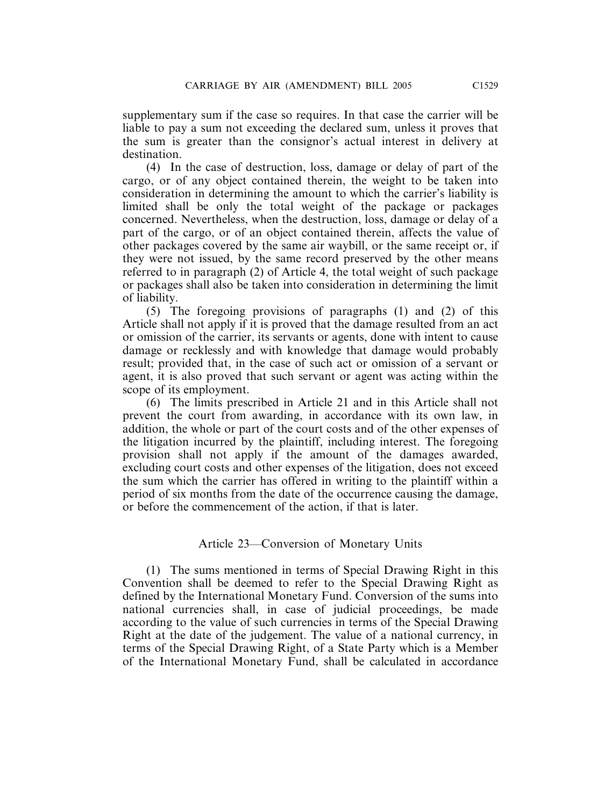supplementary sum if the case so requires. In that case the carrier will be liable to pay a sum not exceeding the declared sum, unless it proves that the sum is greater than the consignor's actual interest in delivery at destination.

(4) In the case of destruction, loss, damage or delay of part of the cargo, or of any object contained therein, the weight to be taken into consideration in determining the amount to which the carrier's liability is limited shall be only the total weight of the package or packages concerned. Nevertheless, when the destruction, loss, damage or delay of a part of the cargo, or of an object contained therein, affects the value of other packages covered by the same air waybill, or the same receipt or, if they were not issued, by the same record preserved by the other means referred to in paragraph (2) of Article 4, the total weight of such package or packages shall also be taken into consideration in determining the limit of liability.

(5) The foregoing provisions of paragraphs (1) and (2) of this Article shall not apply if it is proved that the damage resulted from an act or omission of the carrier, its servants or agents, done with intent to cause damage or recklessly and with knowledge that damage would probably result; provided that, in the case of such act or omission of a servant or agent, it is also proved that such servant or agent was acting within the scope of its employment.

(6) The limits prescribed in Article 21 and in this Article shall not prevent the court from awarding, in accordance with its own law, in addition, the whole or part of the court costs and of the other expenses of the litigation incurred by the plaintiff, including interest. The foregoing provision shall not apply if the amount of the damages awarded, excluding court costs and other expenses of the litigation, does not exceed the sum which the carrier has offered in writing to the plaintiff within a period of six months from the date of the occurrence causing the damage, or before the commencement of the action, if that is later.

# Article 23—Conversion of Monetary Units

(1) The sums mentioned in terms of Special Drawing Right in this Convention shall be deemed to refer to the Special Drawing Right as defined by the International Monetary Fund. Conversion of the sums into national currencies shall, in case of judicial proceedings, be made according to the value of such currencies in terms of the Special Drawing Right at the date of the judgement. The value of a national currency, in terms of the Special Drawing Right, of a State Party which is a Member of the International Monetary Fund, shall be calculated in accordance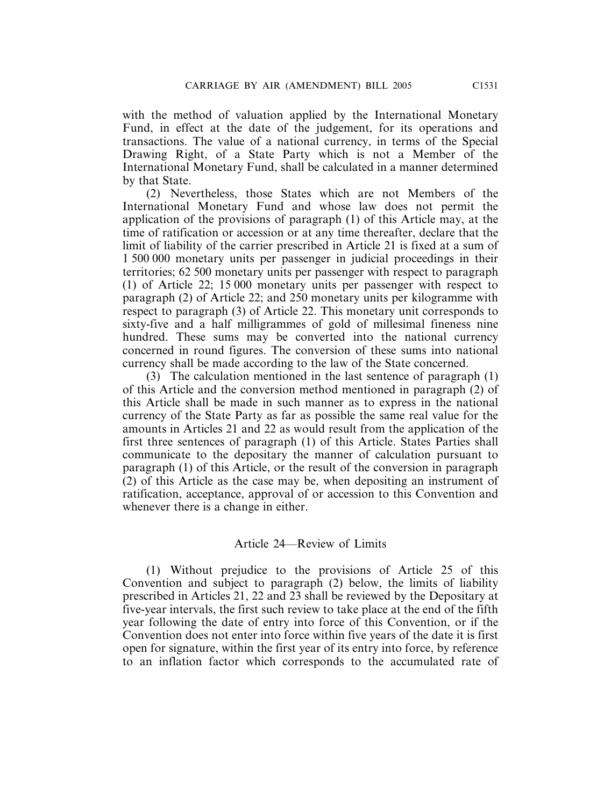with the method of valuation applied by the International Monetary Fund, in effect at the date of the judgement, for its operations and transactions. The value of a national currency, in terms of the Special Drawing Right, of a State Party which is not a Member of the International Monetary Fund, shall be calculated in a manner determined by that State.

(2) Nevertheless, those States which are not Members of the International Monetary Fund and whose law does not permit the application of the provisions of paragraph (1) of this Article may, at the time of ratification or accession or at any time thereafter, declare that the limit of liability of the carrier prescribed in Article 21 is fixed at a sum of 1 500 000 monetary units per passenger in judicial proceedings in their territories; 62 500 monetary units per passenger with respect to paragraph (1) of Article 22; 15 000 monetary units per passenger with respect to paragraph (2) of Article 22; and 250 monetary units per kilogramme with respect to paragraph (3) of Article 22. This monetary unit corresponds to sixty-five and a half milligrammes of gold of millesimal fineness nine hundred. These sums may be converted into the national currency concerned in round figures. The conversion of these sums into national currency shall be made according to the law of the State concerned.

(3) The calculation mentioned in the last sentence of paragraph (1) of this Article and the conversion method mentioned in paragraph (2) of this Article shall be made in such manner as to express in the national currency of the State Party as far as possible the same real value for the amounts in Articles 21 and 22 as would result from the application of the first three sentences of paragraph (1) of this Article. States Parties shall communicate to the depositary the manner of calculation pursuant to paragraph (1) of this Article, or the result of the conversion in paragraph (2) of this Article as the case may be, when depositing an instrument of ratification, acceptance, approval of or accession to this Convention and whenever there is a change in either.

# Article 24—Review of Limits

(1) Without prejudice to the provisions of Article 25 of this Convention and subject to paragraph (2) below, the limits of liability prescribed in Articles 21, 22 and 23 shall be reviewed by the Depositary at five-year intervals, the first such review to take place at the end of the fifth year following the date of entry into force of this Convention, or if the Convention does not enter into force within five years of the date it is first open for signature, within the first year of its entry into force, by reference to an inflation factor which corresponds to the accumulated rate of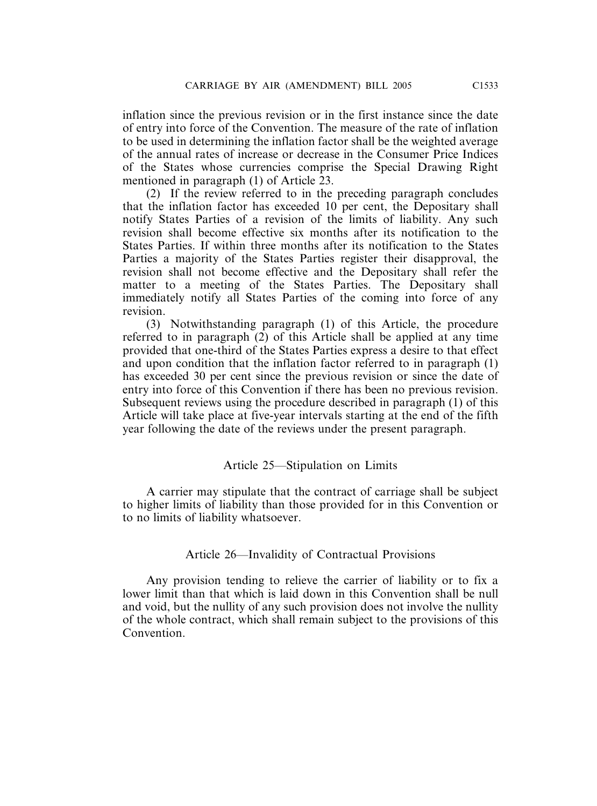inflation since the previous revision or in the first instance since the date of entry into force of the Convention. The measure of the rate of inflation to be used in determining the inflation factor shall be the weighted average of the annual rates of increase or decrease in the Consumer Price Indices of the States whose currencies comprise the Special Drawing Right mentioned in paragraph (1) of Article 23.

(2) If the review referred to in the preceding paragraph concludes that the inflation factor has exceeded 10 per cent, the Depositary shall notify States Parties of a revision of the limits of liability. Any such revision shall become effective six months after its notification to the States Parties. If within three months after its notification to the States Parties a majority of the States Parties register their disapproval, the revision shall not become effective and the Depositary shall refer the matter to a meeting of the States Parties. The Depositary shall immediately notify all States Parties of the coming into force of any revision.

(3) Notwithstanding paragraph (1) of this Article, the procedure referred to in paragraph (2) of this Article shall be applied at any time provided that one-third of the States Parties express a desire to that effect and upon condition that the inflation factor referred to in paragraph (1) has exceeded 30 per cent since the previous revision or since the date of entry into force of this Convention if there has been no previous revision. Subsequent reviews using the procedure described in paragraph (1) of this Article will take place at five-year intervals starting at the end of the fifth year following the date of the reviews under the present paragraph.

# Article 25—Stipulation on Limits

A carrier may stipulate that the contract of carriage shall be subject to higher limits of liability than those provided for in this Convention or to no limits of liability whatsoever.

## Article 26—Invalidity of Contractual Provisions

Any provision tending to relieve the carrier of liability or to fix a lower limit than that which is laid down in this Convention shall be null and void, but the nullity of any such provision does not involve the nullity of the whole contract, which shall remain subject to the provisions of this Convention.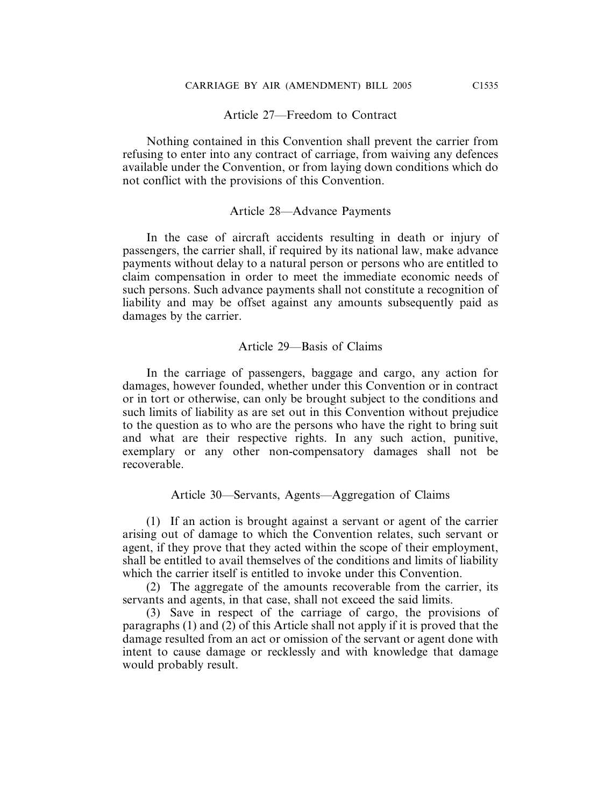#### Article 27—Freedom to Contract

Nothing contained in this Convention shall prevent the carrier from refusing to enter into any contract of carriage, from waiving any defences available under the Convention, or from laying down conditions which do not conflict with the provisions of this Convention.

## Article 28—Advance Payments

In the case of aircraft accidents resulting in death or injury of passengers, the carrier shall, if required by its national law, make advance payments without delay to a natural person or persons who are entitled to claim compensation in order to meet the immediate economic needs of such persons. Such advance payments shall not constitute a recognition of liability and may be offset against any amounts subsequently paid as damages by the carrier.

## Article 29—Basis of Claims

In the carriage of passengers, baggage and cargo, any action for damages, however founded, whether under this Convention or in contract or in tort or otherwise, can only be brought subject to the conditions and such limits of liability as are set out in this Convention without prejudice to the question as to who are the persons who have the right to bring suit and what are their respective rights. In any such action, punitive, exemplary or any other non-compensatory damages shall not be recoverable.

Article 30—Servants, Agents—Aggregation of Claims

(1) If an action is brought against a servant or agent of the carrier arising out of damage to which the Convention relates, such servant or agent, if they prove that they acted within the scope of their employment, shall be entitled to avail themselves of the conditions and limits of liability which the carrier itself is entitled to invoke under this Convention.

(2) The aggregate of the amounts recoverable from the carrier, its servants and agents, in that case, shall not exceed the said limits.

(3) Save in respect of the carriage of cargo, the provisions of paragraphs (1) and (2) of this Article shall not apply if it is proved that the damage resulted from an act or omission of the servant or agent done with intent to cause damage or recklessly and with knowledge that damage would probably result.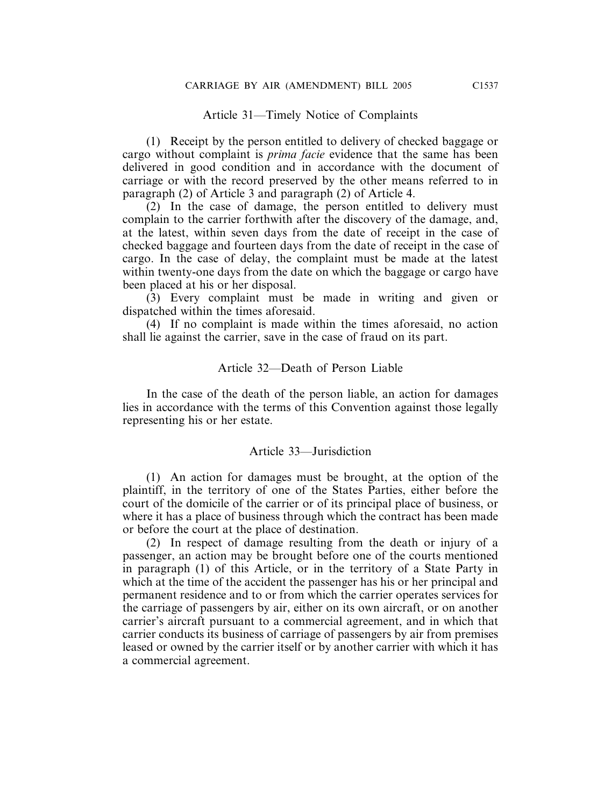#### Article 31—Timely Notice of Complaints

(1) Receipt by the person entitled to delivery of checked baggage or cargo without complaint is *prima facie* evidence that the same has been delivered in good condition and in accordance with the document of carriage or with the record preserved by the other means referred to in paragraph (2) of Article 3 and paragraph (2) of Article 4.

(2) In the case of damage, the person entitled to delivery must complain to the carrier forthwith after the discovery of the damage, and, at the latest, within seven days from the date of receipt in the case of checked baggage and fourteen days from the date of receipt in the case of cargo. In the case of delay, the complaint must be made at the latest within twenty-one days from the date on which the baggage or cargo have been placed at his or her disposal.

(3) Every complaint must be made in writing and given or dispatched within the times aforesaid.

(4) If no complaint is made within the times aforesaid, no action shall lie against the carrier, save in the case of fraud on its part.

#### Article 32—Death of Person Liable

In the case of the death of the person liable, an action for damages lies in accordance with the terms of this Convention against those legally representing his or her estate.

#### Article 33—Jurisdiction

(1) An action for damages must be brought, at the option of the plaintiff, in the territory of one of the States Parties, either before the court of the domicile of the carrier or of its principal place of business, or where it has a place of business through which the contract has been made or before the court at the place of destination.

(2) In respect of damage resulting from the death or injury of a passenger, an action may be brought before one of the courts mentioned in paragraph (1) of this Article, or in the territory of a State Party in which at the time of the accident the passenger has his or her principal and permanent residence and to or from which the carrier operates services for the carriage of passengers by air, either on its own aircraft, or on another carrier's aircraft pursuant to a commercial agreement, and in which that carrier conducts its business of carriage of passengers by air from premises leased or owned by the carrier itself or by another carrier with which it has a commercial agreement.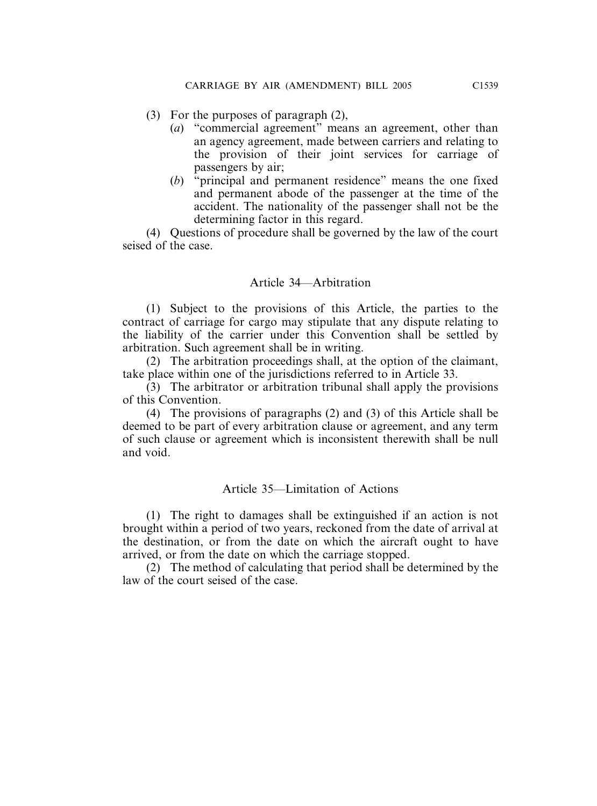- (3) For the purposes of paragraph (2),
	- (*a*) "commercial agreement" means an agreement, other than an agency agreement, made between carriers and relating to the provision of their joint services for carriage of passengers by air;
	- (*b*) "principal and permanent residence" means the one fixed and permanent abode of the passenger at the time of the accident. The nationality of the passenger shall not be the determining factor in this regard.

(4) Questions of procedure shall be governed by the law of the court seised of the case.

# Article 34—Arbitration

(1) Subject to the provisions of this Article, the parties to the contract of carriage for cargo may stipulate that any dispute relating to the liability of the carrier under this Convention shall be settled by arbitration. Such agreement shall be in writing.

(2) The arbitration proceedings shall, at the option of the claimant, take place within one of the jurisdictions referred to in Article 33.

(3) The arbitrator or arbitration tribunal shall apply the provisions of this Convention.

(4) The provisions of paragraphs (2) and (3) of this Article shall be deemed to be part of every arbitration clause or agreement, and any term of such clause or agreement which is inconsistent therewith shall be null and void.

# Article 35—Limitation of Actions

(1) The right to damages shall be extinguished if an action is not brought within a period of two years, reckoned from the date of arrival at the destination, or from the date on which the aircraft ought to have arrived, or from the date on which the carriage stopped.

(2) The method of calculating that period shall be determined by the law of the court seised of the case.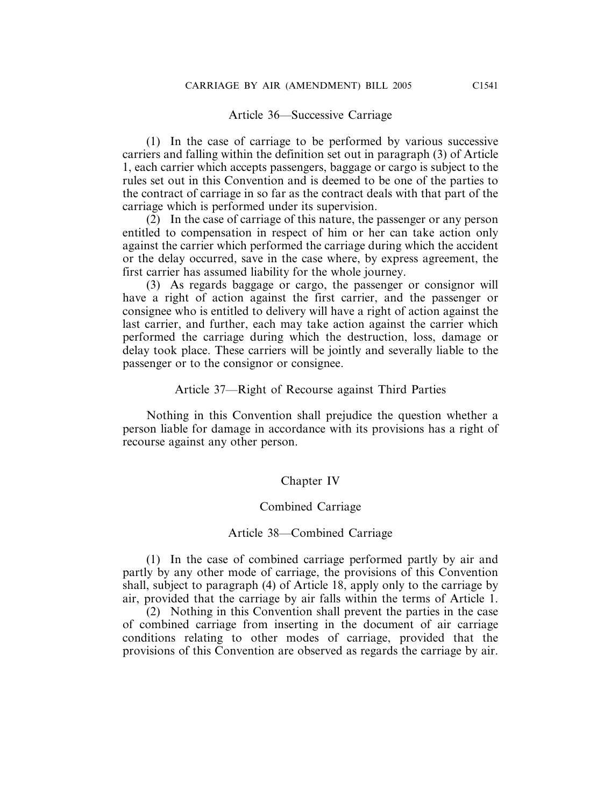#### Article 36—Successive Carriage

(1) In the case of carriage to be performed by various successive carriers and falling within the definition set out in paragraph (3) of Article 1, each carrier which accepts passengers, baggage or cargo is subject to the rules set out in this Convention and is deemed to be one of the parties to the contract of carriage in so far as the contract deals with that part of the carriage which is performed under its supervision.

(2) In the case of carriage of this nature, the passenger or any person entitled to compensation in respect of him or her can take action only against the carrier which performed the carriage during which the accident or the delay occurred, save in the case where, by express agreement, the first carrier has assumed liability for the whole journey.

(3) As regards baggage or cargo, the passenger or consignor will have a right of action against the first carrier, and the passenger or consignee who is entitled to delivery will have a right of action against the last carrier, and further, each may take action against the carrier which performed the carriage during which the destruction, loss, damage or delay took place. These carriers will be jointly and severally liable to the passenger or to the consignor or consignee.

Article 37—Right of Recourse against Third Parties

Nothing in this Convention shall prejudice the question whether a person liable for damage in accordance with its provisions has a right of recourse against any other person.

#### Chapter IV

#### Combined Carriage

#### Article 38—Combined Carriage

(1) In the case of combined carriage performed partly by air and partly by any other mode of carriage, the provisions of this Convention shall, subject to paragraph (4) of Article 18, apply only to the carriage by air, provided that the carriage by air falls within the terms of Article 1.

(2) Nothing in this Convention shall prevent the parties in the case of combined carriage from inserting in the document of air carriage conditions relating to other modes of carriage, provided that the provisions of this Convention are observed as regards the carriage by air.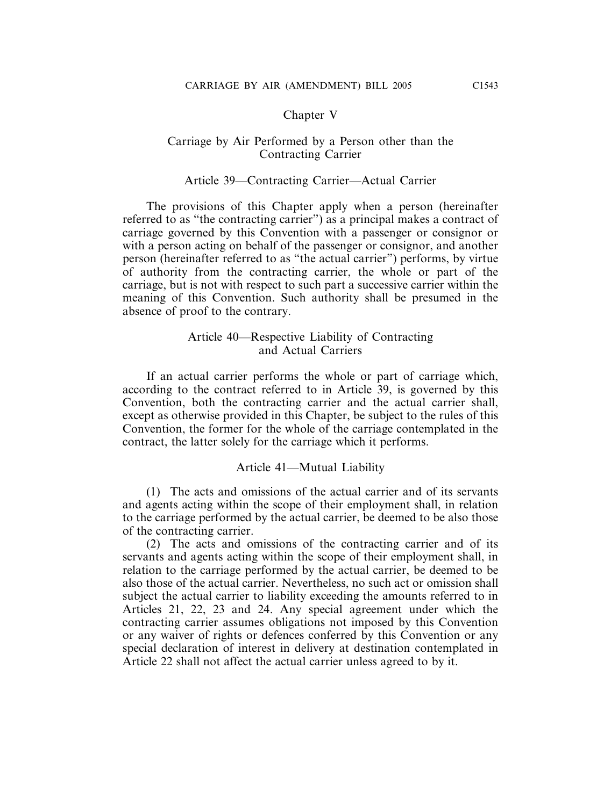# Chapter V

## Carriage by Air Performed by a Person other than the Contracting Carrier

#### Article 39—Contracting Carrier—Actual Carrier

The provisions of this Chapter apply when a person (hereinafter referred to as "the contracting carrier") as a principal makes a contract of carriage governed by this Convention with a passenger or consignor or with a person acting on behalf of the passenger or consignor, and another person (hereinafter referred to as "the actual carrier") performs, by virtue of authority from the contracting carrier, the whole or part of the carriage, but is not with respect to such part a successive carrier within the meaning of this Convention. Such authority shall be presumed in the absence of proof to the contrary.

# Article 40—Respective Liability of Contracting and Actual Carriers

If an actual carrier performs the whole or part of carriage which, according to the contract referred to in Article 39, is governed by this Convention, both the contracting carrier and the actual carrier shall, except as otherwise provided in this Chapter, be subject to the rules of this Convention, the former for the whole of the carriage contemplated in the contract, the latter solely for the carriage which it performs.

Article 41—Mutual Liability

(1) The acts and omissions of the actual carrier and of its servants and agents acting within the scope of their employment shall, in relation to the carriage performed by the actual carrier, be deemed to be also those of the contracting carrier.

(2) The acts and omissions of the contracting carrier and of its servants and agents acting within the scope of their employment shall, in relation to the carriage performed by the actual carrier, be deemed to be also those of the actual carrier. Nevertheless, no such act or omission shall subject the actual carrier to liability exceeding the amounts referred to in Articles 21, 22, 23 and 24. Any special agreement under which the contracting carrier assumes obligations not imposed by this Convention or any waiver of rights or defences conferred by this Convention or any special declaration of interest in delivery at destination contemplated in Article 22 shall not affect the actual carrier unless agreed to by it.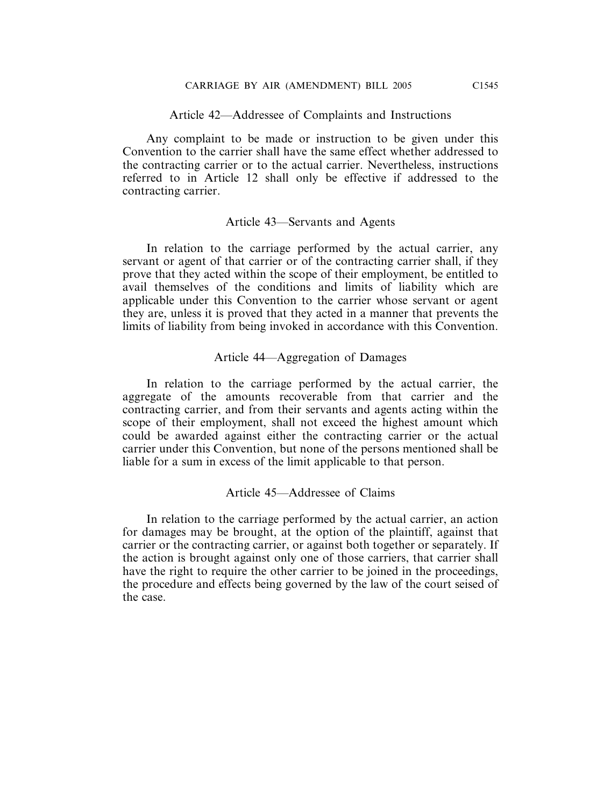#### Article 42—Addressee of Complaints and Instructions

Any complaint to be made or instruction to be given under this Convention to the carrier shall have the same effect whether addressed to the contracting carrier or to the actual carrier. Nevertheless, instructions referred to in Article 12 shall only be effective if addressed to the contracting carrier.

## Article 43—Servants and Agents

In relation to the carriage performed by the actual carrier, any servant or agent of that carrier or of the contracting carrier shall, if they prove that they acted within the scope of their employment, be entitled to avail themselves of the conditions and limits of liability which are applicable under this Convention to the carrier whose servant or agent they are, unless it is proved that they acted in a manner that prevents the limits of liability from being invoked in accordance with this Convention.

#### Article 44—Aggregation of Damages

In relation to the carriage performed by the actual carrier, the aggregate of the amounts recoverable from that carrier and the contracting carrier, and from their servants and agents acting within the scope of their employment, shall not exceed the highest amount which could be awarded against either the contracting carrier or the actual carrier under this Convention, but none of the persons mentioned shall be liable for a sum in excess of the limit applicable to that person.

Article 45—Addressee of Claims

In relation to the carriage performed by the actual carrier, an action for damages may be brought, at the option of the plaintiff, against that carrier or the contracting carrier, or against both together or separately. If the action is brought against only one of those carriers, that carrier shall have the right to require the other carrier to be joined in the proceedings, the procedure and effects being governed by the law of the court seised of the case.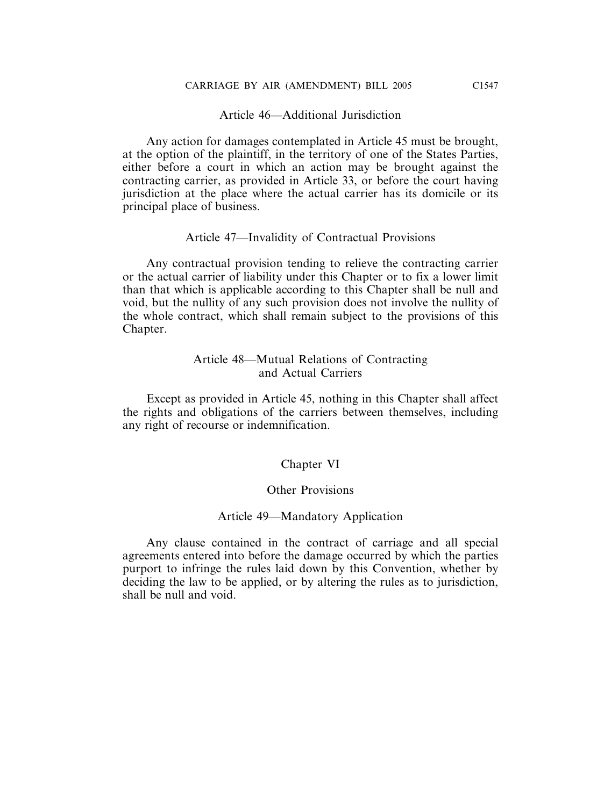#### Article 46—Additional Jurisdiction

Any action for damages contemplated in Article 45 must be brought, at the option of the plaintiff, in the territory of one of the States Parties, either before a court in which an action may be brought against the contracting carrier, as provided in Article 33, or before the court having jurisdiction at the place where the actual carrier has its domicile or its principal place of business.

#### Article 47—Invalidity of Contractual Provisions

Any contractual provision tending to relieve the contracting carrier or the actual carrier of liability under this Chapter or to fix a lower limit than that which is applicable according to this Chapter shall be null and void, but the nullity of any such provision does not involve the nullity of the whole contract, which shall remain subject to the provisions of this Chapter.

## Article 48—Mutual Relations of Contracting and Actual Carriers

Except as provided in Article 45, nothing in this Chapter shall affect the rights and obligations of the carriers between themselves, including any right of recourse or indemnification.

#### Chapter VI

#### Other Provisions

#### Article 49—Mandatory Application

Any clause contained in the contract of carriage and all special agreements entered into before the damage occurred by which the parties purport to infringe the rules laid down by this Convention, whether by deciding the law to be applied, or by altering the rules as to jurisdiction, shall be null and void.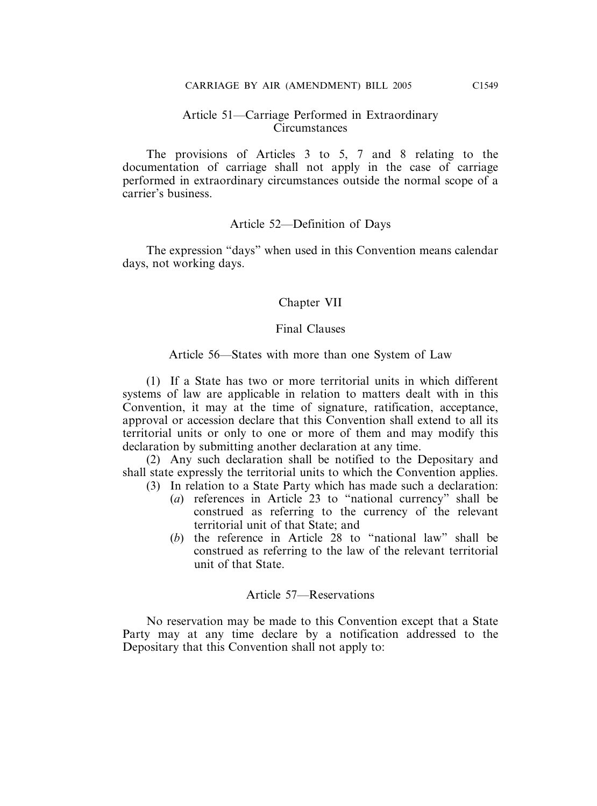# Article 51—Carriage Performed in Extraordinary Circumstances

The provisions of Articles 3 to 5, 7 and 8 relating to the documentation of carriage shall not apply in the case of carriage performed in extraordinary circumstances outside the normal scope of a carrier's business.

## Article 52—Definition of Days

The expression "days" when used in this Convention means calendar days, not working days.

# Chapter VII

## Final Clauses

# Article 56—States with more than one System of Law

(1) If a State has two or more territorial units in which different systems of law are applicable in relation to matters dealt with in this Convention, it may at the time of signature, ratification, acceptance, approval or accession declare that this Convention shall extend to all its territorial units or only to one or more of them and may modify this declaration by submitting another declaration at any time.

(2) Any such declaration shall be notified to the Depositary and shall state expressly the territorial units to which the Convention applies.

- (3) In relation to a State Party which has made such a declaration:
	- (*a*) references in Article 23 to "national currency" shall be construed as referring to the currency of the relevant territorial unit of that State; and
	- (*b*) the reference in Article 28 to "national law" shall be construed as referring to the law of the relevant territorial unit of that State.

## Article 57—Reservations

No reservation may be made to this Convention except that a State Party may at any time declare by a notification addressed to the Depositary that this Convention shall not apply to: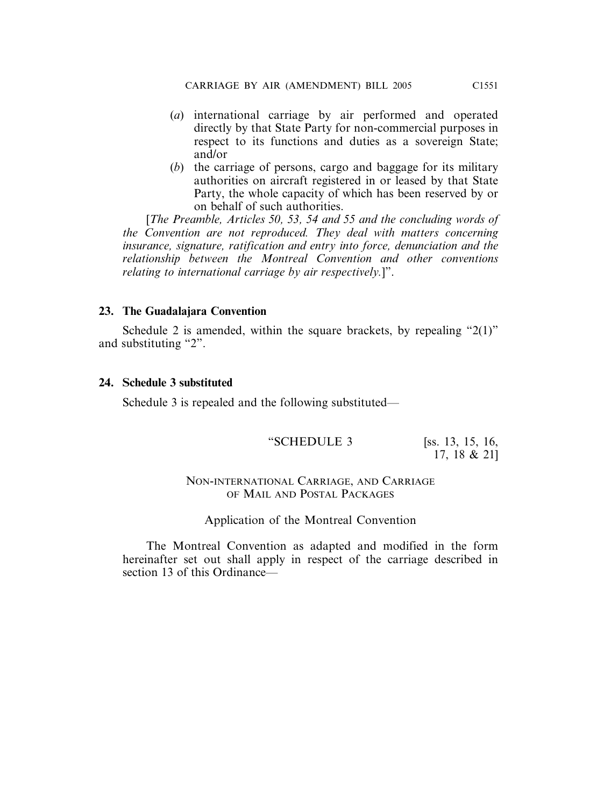- (*a*) international carriage by air performed and operated directly by that State Party for non-commercial purposes in respect to its functions and duties as a sovereign State; and/or
- (*b*) the carriage of persons, cargo and baggage for its military authorities on aircraft registered in or leased by that State Party, the whole capacity of which has been reserved by or on behalf of such authorities.

[*The Preamble, Articles 50, 53, 54 and 55 and the concluding words of the Convention are not reproduced. They deal with matters concerning insurance, signature, ratification and entry into force, denunciation and the relationship between the Montreal Convention and other conventions relating to international carriage by air respectively.*]".

# **23. The Guadalajara Convention**

Schedule 2 is amended, within the square brackets, by repealing "2(1)" and substituting "2".

# **24. Schedule 3 substituted**

Schedule 3 is repealed and the following substituted—

| "SCHEDULE 3 | [ss. 13, 15, 16, |
|-------------|------------------|
|             | 17, 18 & 21]     |

## NON-INTERNATIONAL CARRIAGE, AND CARRIAGE OF MAIL AND POSTAL PACKAGES

# Application of the Montreal Convention

The Montreal Convention as adapted and modified in the form hereinafter set out shall apply in respect of the carriage described in section 13 of this Ordinance—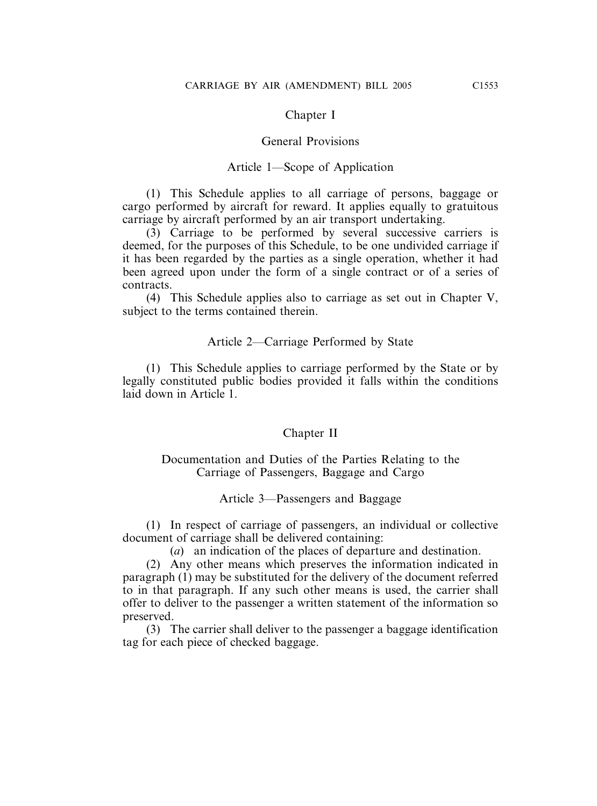# General Provisions

## Article 1—Scope of Application

(1) This Schedule applies to all carriage of persons, baggage or cargo performed by aircraft for reward. It applies equally to gratuitous carriage by aircraft performed by an air transport undertaking.

(3) Carriage to be performed by several successive carriers is deemed, for the purposes of this Schedule, to be one undivided carriage if it has been regarded by the parties as a single operation, whether it had been agreed upon under the form of a single contract or of a series of contracts.

(4) This Schedule applies also to carriage as set out in Chapter V, subject to the terms contained therein.

## Article 2—Carriage Performed by State

(1) This Schedule applies to carriage performed by the State or by legally constituted public bodies provided it falls within the conditions laid down in Article 1.

## Chapter II

Documentation and Duties of the Parties Relating to the Carriage of Passengers, Baggage and Cargo

Article 3—Passengers and Baggage

(1) In respect of carriage of passengers, an individual or collective document of carriage shall be delivered containing:

(*a*) an indication of the places of departure and destination.

(2) Any other means which preserves the information indicated in paragraph (1) may be substituted for the delivery of the document referred to in that paragraph. If any such other means is used, the carrier shall offer to deliver to the passenger a written statement of the information so preserved.

(3) The carrier shall deliver to the passenger a baggage identification tag for each piece of checked baggage.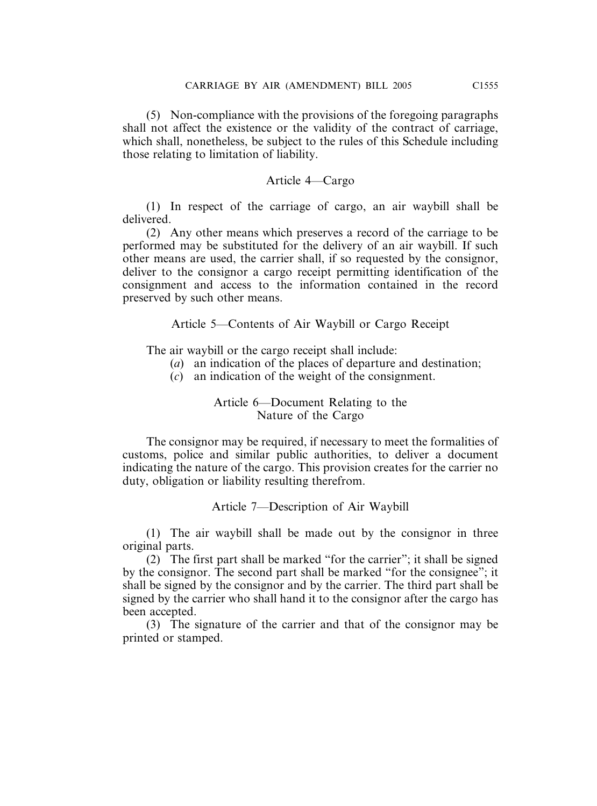(5) Non-compliance with the provisions of the foregoing paragraphs shall not affect the existence or the validity of the contract of carriage, which shall, nonetheless, be subject to the rules of this Schedule including those relating to limitation of liability.

# Article 4—Cargo

(1) In respect of the carriage of cargo, an air waybill shall be delivered.

(2) Any other means which preserves a record of the carriage to be performed may be substituted for the delivery of an air waybill. If such other means are used, the carrier shall, if so requested by the consignor, deliver to the consignor a cargo receipt permitting identification of the consignment and access to the information contained in the record preserved by such other means.

Article 5—Contents of Air Waybill or Cargo Receipt

The air waybill or the cargo receipt shall include:

- (*a*) an indication of the places of departure and destination;
- (*c*) an indication of the weight of the consignment.

Article 6—Document Relating to the Nature of the Cargo

The consignor may be required, if necessary to meet the formalities of customs, police and similar public authorities, to deliver a document indicating the nature of the cargo. This provision creates for the carrier no duty, obligation or liability resulting therefrom.

Article 7—Description of Air Waybill

(1) The air waybill shall be made out by the consignor in three original parts.

(2) The first part shall be marked "for the carrier"; it shall be signed by the consignor. The second part shall be marked "for the consignee"; it shall be signed by the consignor and by the carrier. The third part shall be signed by the carrier who shall hand it to the consignor after the cargo has been accepted.

(3) The signature of the carrier and that of the consignor may be printed or stamped.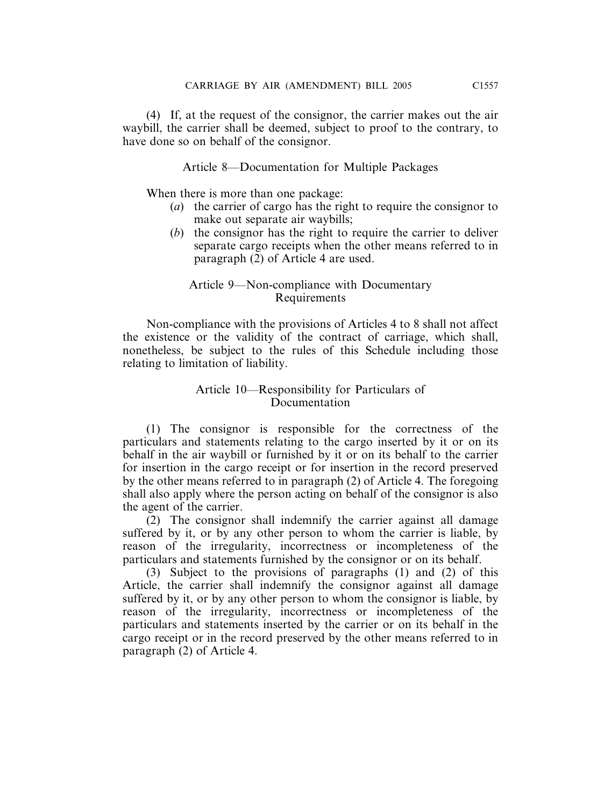(4) If, at the request of the consignor, the carrier makes out the air waybill, the carrier shall be deemed, subject to proof to the contrary, to have done so on behalf of the consignor.

# Article 8—Documentation for Multiple Packages

When there is more than one package:

- (*a*) the carrier of cargo has the right to require the consignor to make out separate air waybills;
- (*b*) the consignor has the right to require the carrier to deliver separate cargo receipts when the other means referred to in paragraph (2) of Article 4 are used.

# Article 9—Non-compliance with Documentary Requirements

Non-compliance with the provisions of Articles 4 to 8 shall not affect the existence or the validity of the contract of carriage, which shall, nonetheless, be subject to the rules of this Schedule including those relating to limitation of liability.

# Article 10—Responsibility for Particulars of Documentation

(1) The consignor is responsible for the correctness of the particulars and statements relating to the cargo inserted by it or on its behalf in the air waybill or furnished by it or on its behalf to the carrier for insertion in the cargo receipt or for insertion in the record preserved by the other means referred to in paragraph (2) of Article 4. The foregoing shall also apply where the person acting on behalf of the consignor is also the agent of the carrier.

(2) The consignor shall indemnify the carrier against all damage suffered by it, or by any other person to whom the carrier is liable, by reason of the irregularity, incorrectness or incompleteness of the particulars and statements furnished by the consignor or on its behalf.

(3) Subject to the provisions of paragraphs (1) and (2) of this Article, the carrier shall indemnify the consignor against all damage suffered by it, or by any other person to whom the consignor is liable, by reason of the irregularity, incorrectness or incompleteness of the particulars and statements inserted by the carrier or on its behalf in the cargo receipt or in the record preserved by the other means referred to in paragraph (2) of Article 4.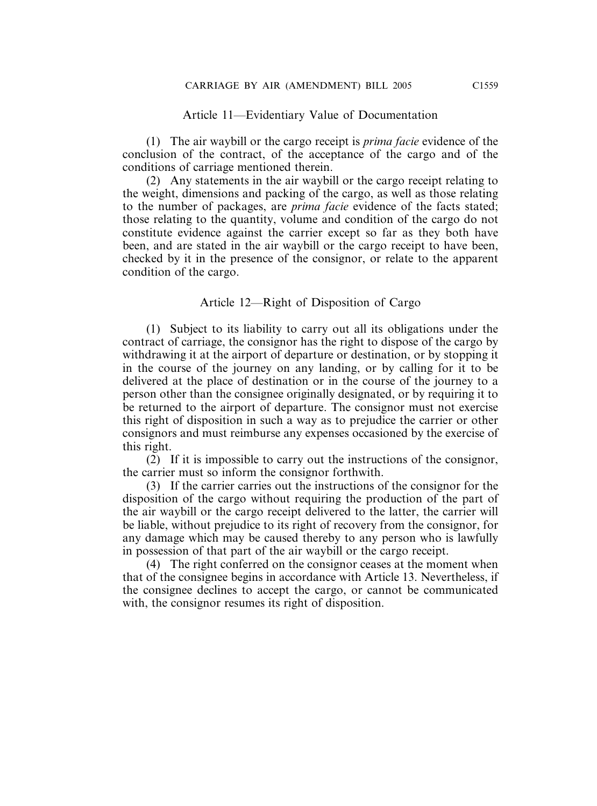# Article 11—Evidentiary Value of Documentation

(1) The air waybill or the cargo receipt is *prima facie* evidence of the conclusion of the contract, of the acceptance of the cargo and of the conditions of carriage mentioned therein.

(2) Any statements in the air waybill or the cargo receipt relating to the weight, dimensions and packing of the cargo, as well as those relating to the number of packages, are *prima facie* evidence of the facts stated; those relating to the quantity, volume and condition of the cargo do not constitute evidence against the carrier except so far as they both have been, and are stated in the air waybill or the cargo receipt to have been, checked by it in the presence of the consignor, or relate to the apparent condition of the cargo.

# Article 12—Right of Disposition of Cargo

(1) Subject to its liability to carry out all its obligations under the contract of carriage, the consignor has the right to dispose of the cargo by withdrawing it at the airport of departure or destination, or by stopping it in the course of the journey on any landing, or by calling for it to be delivered at the place of destination or in the course of the journey to a person other than the consignee originally designated, or by requiring it to be returned to the airport of departure. The consignor must not exercise this right of disposition in such a way as to prejudice the carrier or other consignors and must reimburse any expenses occasioned by the exercise of this right.

(2) If it is impossible to carry out the instructions of the consignor, the carrier must so inform the consignor forthwith.

(3) If the carrier carries out the instructions of the consignor for the disposition of the cargo without requiring the production of the part of the air waybill or the cargo receipt delivered to the latter, the carrier will be liable, without prejudice to its right of recovery from the consignor, for any damage which may be caused thereby to any person who is lawfully in possession of that part of the air waybill or the cargo receipt.

(4) The right conferred on the consignor ceases at the moment when that of the consignee begins in accordance with Article 13. Nevertheless, if the consignee declines to accept the cargo, or cannot be communicated with, the consignor resumes its right of disposition.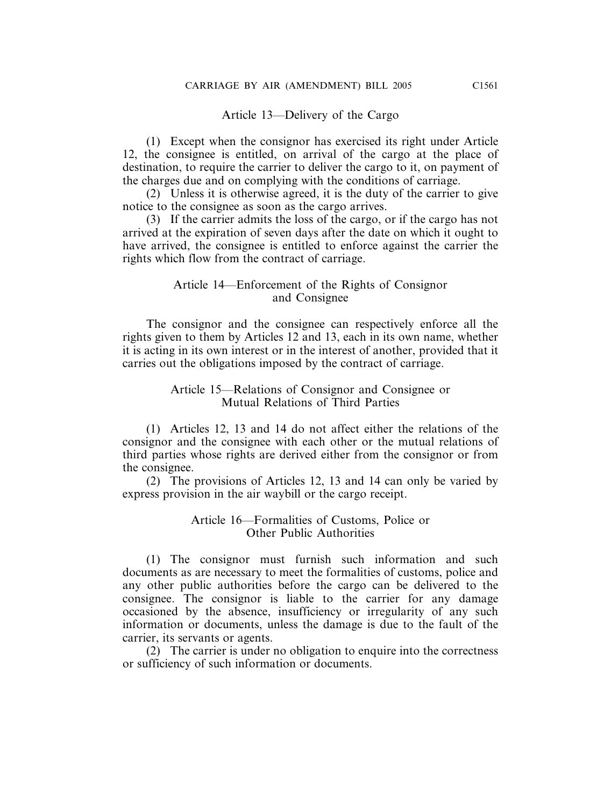# Article 13—Delivery of the Cargo

(1) Except when the consignor has exercised its right under Article 12, the consignee is entitled, on arrival of the cargo at the place of destination, to require the carrier to deliver the cargo to it, on payment of the charges due and on complying with the conditions of carriage.

(2) Unless it is otherwise agreed, it is the duty of the carrier to give notice to the consignee as soon as the cargo arrives.

(3) If the carrier admits the loss of the cargo, or if the cargo has not arrived at the expiration of seven days after the date on which it ought to have arrived, the consignee is entitled to enforce against the carrier the rights which flow from the contract of carriage.

# Article 14—Enforcement of the Rights of Consignor and Consignee

The consignor and the consignee can respectively enforce all the rights given to them by Articles 12 and 13, each in its own name, whether it is acting in its own interest or in the interest of another, provided that it carries out the obligations imposed by the contract of carriage.

> Article 15—Relations of Consignor and Consignee or Mutual Relations of Third Parties

(1) Articles 12, 13 and 14 do not affect either the relations of the consignor and the consignee with each other or the mutual relations of third parties whose rights are derived either from the consignor or from the consignee.

(2) The provisions of Articles 12, 13 and 14 can only be varied by express provision in the air waybill or the cargo receipt.

## Article 16—Formalities of Customs, Police or Other Public Authorities

(1) The consignor must furnish such information and such documents as are necessary to meet the formalities of customs, police and any other public authorities before the cargo can be delivered to the consignee. The consignor is liable to the carrier for any damage occasioned by the absence, insufficiency or irregularity of any such information or documents, unless the damage is due to the fault of the carrier, its servants or agents.

(2) The carrier is under no obligation to enquire into the correctness or sufficiency of such information or documents.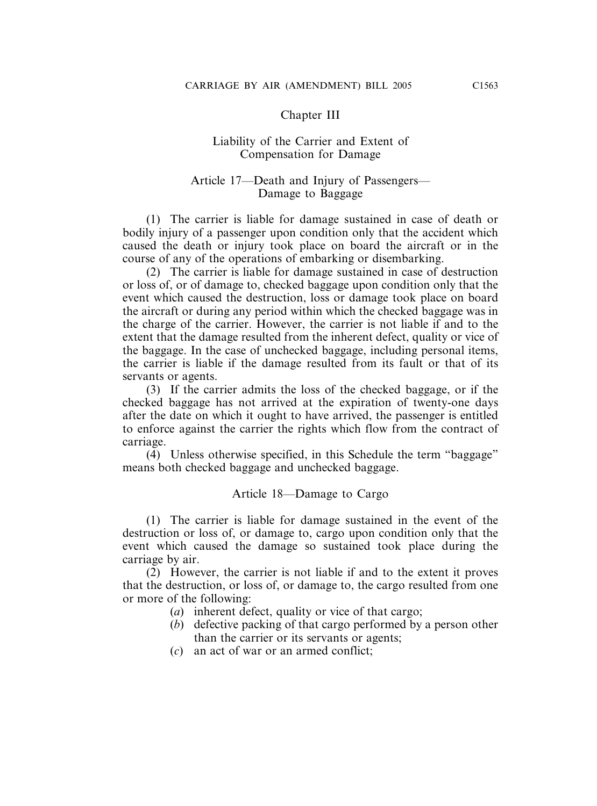## Chapter III

## Liability of the Carrier and Extent of Compensation for Damage

## Article 17—Death and Injury of Passengers— Damage to Baggage

(1) The carrier is liable for damage sustained in case of death or bodily injury of a passenger upon condition only that the accident which caused the death or injury took place on board the aircraft or in the course of any of the operations of embarking or disembarking.

(2) The carrier is liable for damage sustained in case of destruction or loss of, or of damage to, checked baggage upon condition only that the event which caused the destruction, loss or damage took place on board the aircraft or during any period within which the checked baggage was in the charge of the carrier. However, the carrier is not liable if and to the extent that the damage resulted from the inherent defect, quality or vice of the baggage. In the case of unchecked baggage, including personal items, the carrier is liable if the damage resulted from its fault or that of its servants or agents.

(3) If the carrier admits the loss of the checked baggage, or if the checked baggage has not arrived at the expiration of twenty-one days after the date on which it ought to have arrived, the passenger is entitled to enforce against the carrier the rights which flow from the contract of carriage.

(4) Unless otherwise specified, in this Schedule the term "baggage" means both checked baggage and unchecked baggage.

Article 18—Damage to Cargo

(1) The carrier is liable for damage sustained in the event of the destruction or loss of, or damage to, cargo upon condition only that the event which caused the damage so sustained took place during the carriage by air.

(2) However, the carrier is not liable if and to the extent it proves that the destruction, or loss of, or damage to, the cargo resulted from one or more of the following:

- (*a*) inherent defect, quality or vice of that cargo;
- (*b*) defective packing of that cargo performed by a person other than the carrier or its servants or agents;
- (*c*) an act of war or an armed conflict;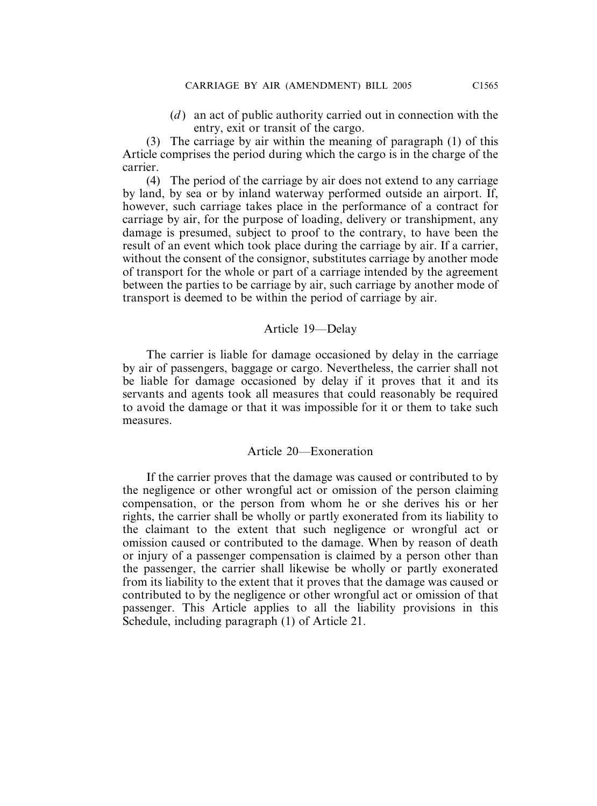(*d* ) an act of public authority carried out in connection with the entry, exit or transit of the cargo.

(3) The carriage by air within the meaning of paragraph (1) of this Article comprises the period during which the cargo is in the charge of the carrier.

(4) The period of the carriage by air does not extend to any carriage by land, by sea or by inland waterway performed outside an airport. If, however, such carriage takes place in the performance of a contract for carriage by air, for the purpose of loading, delivery or transhipment, any damage is presumed, subject to proof to the contrary, to have been the result of an event which took place during the carriage by air. If a carrier, without the consent of the consignor, substitutes carriage by another mode of transport for the whole or part of a carriage intended by the agreement between the parties to be carriage by air, such carriage by another mode of transport is deemed to be within the period of carriage by air.

## Article 19—Delay

The carrier is liable for damage occasioned by delay in the carriage by air of passengers, baggage or cargo. Nevertheless, the carrier shall not be liable for damage occasioned by delay if it proves that it and its servants and agents took all measures that could reasonably be required to avoid the damage or that it was impossible for it or them to take such measures.

## Article 20—Exoneration

If the carrier proves that the damage was caused or contributed to by the negligence or other wrongful act or omission of the person claiming compensation, or the person from whom he or she derives his or her rights, the carrier shall be wholly or partly exonerated from its liability to the claimant to the extent that such negligence or wrongful act or omission caused or contributed to the damage. When by reason of death or injury of a passenger compensation is claimed by a person other than the passenger, the carrier shall likewise be wholly or partly exonerated from its liability to the extent that it proves that the damage was caused or contributed to by the negligence or other wrongful act or omission of that passenger. This Article applies to all the liability provisions in this Schedule, including paragraph (1) of Article 21.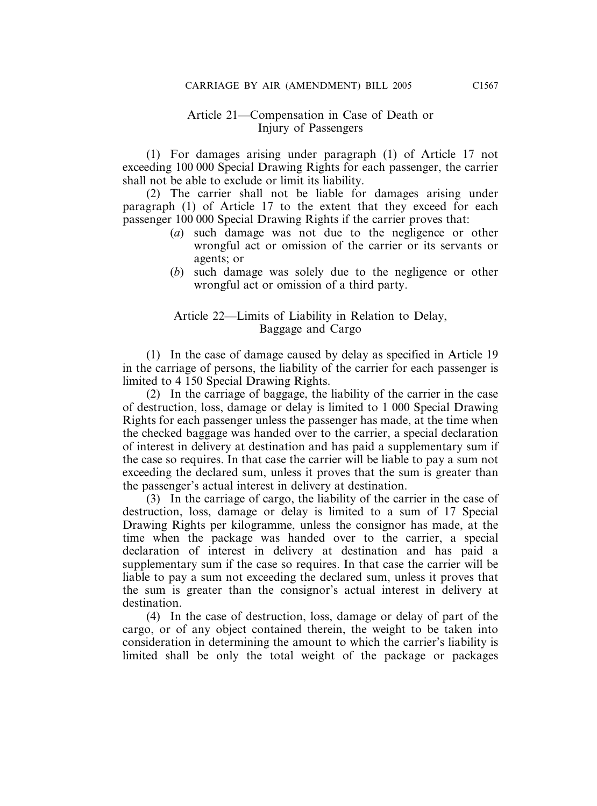# Article 21—Compensation in Case of Death or Injury of Passengers

(1) For damages arising under paragraph (1) of Article 17 not exceeding 100 000 Special Drawing Rights for each passenger, the carrier shall not be able to exclude or limit its liability.

(2) The carrier shall not be liable for damages arising under paragraph (1) of Article 17 to the extent that they exceed for each passenger 100 000 Special Drawing Rights if the carrier proves that:

- (*a*) such damage was not due to the negligence or other wrongful act or omission of the carrier or its servants or agents; or
- (*b*) such damage was solely due to the negligence or other wrongful act or omission of a third party.

# Article 22—Limits of Liability in Relation to Delay, Baggage and Cargo

(1) In the case of damage caused by delay as specified in Article 19 in the carriage of persons, the liability of the carrier for each passenger is limited to 4 150 Special Drawing Rights.

(2) In the carriage of baggage, the liability of the carrier in the case of destruction, loss, damage or delay is limited to 1 000 Special Drawing Rights for each passenger unless the passenger has made, at the time when the checked baggage was handed over to the carrier, a special declaration of interest in delivery at destination and has paid a supplementary sum if the case so requires. In that case the carrier will be liable to pay a sum not exceeding the declared sum, unless it proves that the sum is greater than the passenger's actual interest in delivery at destination.

(3) In the carriage of cargo, the liability of the carrier in the case of destruction, loss, damage or delay is limited to a sum of 17 Special Drawing Rights per kilogramme, unless the consignor has made, at the time when the package was handed over to the carrier, a special declaration of interest in delivery at destination and has paid a supplementary sum if the case so requires. In that case the carrier will be liable to pay a sum not exceeding the declared sum, unless it proves that the sum is greater than the consignor's actual interest in delivery at destination.

(4) In the case of destruction, loss, damage or delay of part of the cargo, or of any object contained therein, the weight to be taken into consideration in determining the amount to which the carrier's liability is limited shall be only the total weight of the package or packages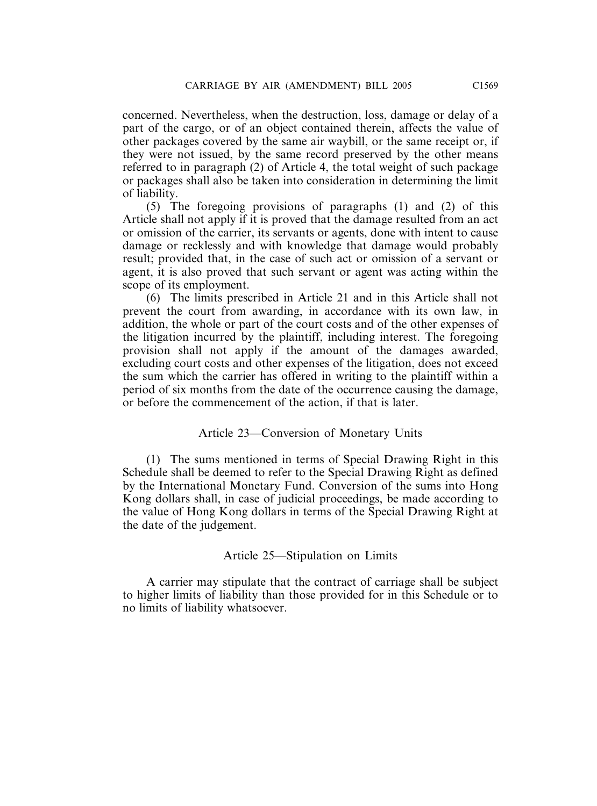concerned. Nevertheless, when the destruction, loss, damage or delay of a part of the cargo, or of an object contained therein, affects the value of other packages covered by the same air waybill, or the same receipt or, if they were not issued, by the same record preserved by the other means referred to in paragraph (2) of Article 4, the total weight of such package or packages shall also be taken into consideration in determining the limit of liability.

(5) The foregoing provisions of paragraphs (1) and (2) of this Article shall not apply if it is proved that the damage resulted from an act or omission of the carrier, its servants or agents, done with intent to cause damage or recklessly and with knowledge that damage would probably result; provided that, in the case of such act or omission of a servant or agent, it is also proved that such servant or agent was acting within the scope of its employment.

(6) The limits prescribed in Article 21 and in this Article shall not prevent the court from awarding, in accordance with its own law, in addition, the whole or part of the court costs and of the other expenses of the litigation incurred by the plaintiff, including interest. The foregoing provision shall not apply if the amount of the damages awarded, excluding court costs and other expenses of the litigation, does not exceed the sum which the carrier has offered in writing to the plaintiff within a period of six months from the date of the occurrence causing the damage, or before the commencement of the action, if that is later.

# Article 23—Conversion of Monetary Units

(1) The sums mentioned in terms of Special Drawing Right in this Schedule shall be deemed to refer to the Special Drawing Right as defined by the International Monetary Fund. Conversion of the sums into Hong Kong dollars shall, in case of judicial proceedings, be made according to the value of Hong Kong dollars in terms of the Special Drawing Right at the date of the judgement.

## Article 25—Stipulation on Limits

A carrier may stipulate that the contract of carriage shall be subject to higher limits of liability than those provided for in this Schedule or to no limits of liability whatsoever.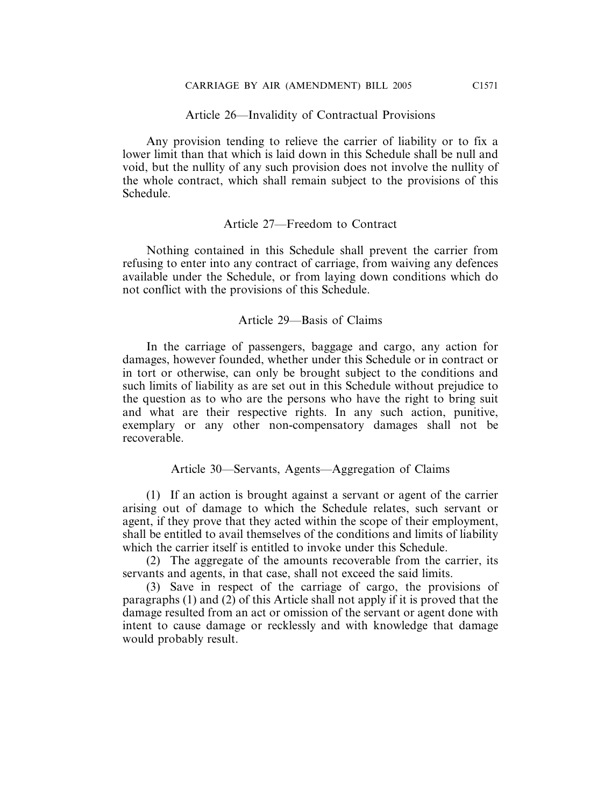#### Article 26—Invalidity of Contractual Provisions

Any provision tending to relieve the carrier of liability or to fix a lower limit than that which is laid down in this Schedule shall be null and void, but the nullity of any such provision does not involve the nullity of the whole contract, which shall remain subject to the provisions of this Schedule.

## Article 27—Freedom to Contract

Nothing contained in this Schedule shall prevent the carrier from refusing to enter into any contract of carriage, from waiving any defences available under the Schedule, or from laying down conditions which do not conflict with the provisions of this Schedule.

# Article 29—Basis of Claims

In the carriage of passengers, baggage and cargo, any action for damages, however founded, whether under this Schedule or in contract or in tort or otherwise, can only be brought subject to the conditions and such limits of liability as are set out in this Schedule without prejudice to the question as to who are the persons who have the right to bring suit and what are their respective rights. In any such action, punitive, exemplary or any other non-compensatory damages shall not be recoverable.

Article 30—Servants, Agents—Aggregation of Claims

(1) If an action is brought against a servant or agent of the carrier arising out of damage to which the Schedule relates, such servant or agent, if they prove that they acted within the scope of their employment, shall be entitled to avail themselves of the conditions and limits of liability which the carrier itself is entitled to invoke under this Schedule.

(2) The aggregate of the amounts recoverable from the carrier, its servants and agents, in that case, shall not exceed the said limits.

(3) Save in respect of the carriage of cargo, the provisions of paragraphs (1) and (2) of this Article shall not apply if it is proved that the damage resulted from an act or omission of the servant or agent done with intent to cause damage or recklessly and with knowledge that damage would probably result.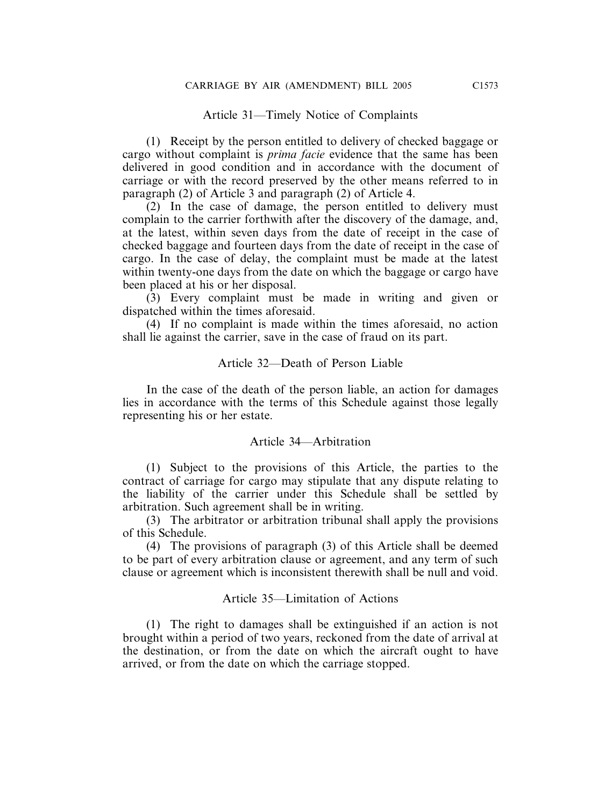# Article 31—Timely Notice of Complaints

(1) Receipt by the person entitled to delivery of checked baggage or cargo without complaint is *prima facie* evidence that the same has been delivered in good condition and in accordance with the document of carriage or with the record preserved by the other means referred to in paragraph (2) of Article 3 and paragraph (2) of Article 4.

(2) In the case of damage, the person entitled to delivery must complain to the carrier forthwith after the discovery of the damage, and, at the latest, within seven days from the date of receipt in the case of checked baggage and fourteen days from the date of receipt in the case of cargo. In the case of delay, the complaint must be made at the latest within twenty-one days from the date on which the baggage or cargo have been placed at his or her disposal.

(3) Every complaint must be made in writing and given or dispatched within the times aforesaid.

(4) If no complaint is made within the times aforesaid, no action shall lie against the carrier, save in the case of fraud on its part.

# Article 32—Death of Person Liable

In the case of the death of the person liable, an action for damages lies in accordance with the terms of this Schedule against those legally representing his or her estate.

## Article 34—Arbitration

(1) Subject to the provisions of this Article, the parties to the contract of carriage for cargo may stipulate that any dispute relating to the liability of the carrier under this Schedule shall be settled by arbitration. Such agreement shall be in writing.

(3) The arbitrator or arbitration tribunal shall apply the provisions of this Schedule.

(4) The provisions of paragraph (3) of this Article shall be deemed to be part of every arbitration clause or agreement, and any term of such clause or agreement which is inconsistent therewith shall be null and void.

# Article 35—Limitation of Actions

(1) The right to damages shall be extinguished if an action is not brought within a period of two years, reckoned from the date of arrival at the destination, or from the date on which the aircraft ought to have arrived, or from the date on which the carriage stopped.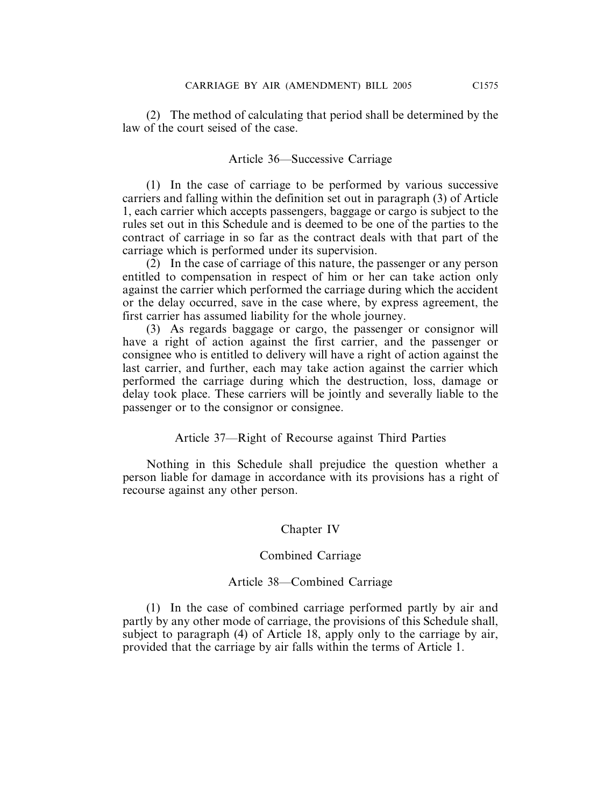(2) The method of calculating that period shall be determined by the law of the court seised of the case.

## Article 36—Successive Carriage

(1) In the case of carriage to be performed by various successive carriers and falling within the definition set out in paragraph (3) of Article 1, each carrier which accepts passengers, baggage or cargo is subject to the rules set out in this Schedule and is deemed to be one of the parties to the contract of carriage in so far as the contract deals with that part of the carriage which is performed under its supervision.

(2) In the case of carriage of this nature, the passenger or any person entitled to compensation in respect of him or her can take action only against the carrier which performed the carriage during which the accident or the delay occurred, save in the case where, by express agreement, the first carrier has assumed liability for the whole journey.

(3) As regards baggage or cargo, the passenger or consignor will have a right of action against the first carrier, and the passenger or consignee who is entitled to delivery will have a right of action against the last carrier, and further, each may take action against the carrier which performed the carriage during which the destruction, loss, damage or delay took place. These carriers will be jointly and severally liable to the passenger or to the consignor or consignee.

## Article 37—Right of Recourse against Third Parties

Nothing in this Schedule shall prejudice the question whether a person liable for damage in accordance with its provisions has a right of recourse against any other person.

## Chapter IV

## Combined Carriage

## Article 38—Combined Carriage

(1) In the case of combined carriage performed partly by air and partly by any other mode of carriage, the provisions of this Schedule shall, subject to paragraph (4) of Article 18, apply only to the carriage by air, provided that the carriage by air falls within the terms of Article 1.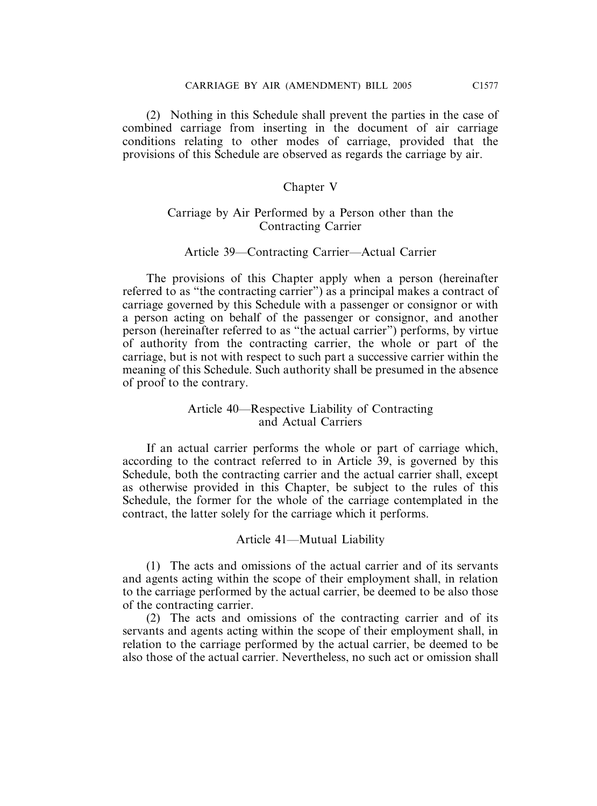(2) Nothing in this Schedule shall prevent the parties in the case of combined carriage from inserting in the document of air carriage conditions relating to other modes of carriage, provided that the provisions of this Schedule are observed as regards the carriage by air.

# Chapter V

# Carriage by Air Performed by a Person other than the Contracting Carrier

# Article 39—Contracting Carrier—Actual Carrier

The provisions of this Chapter apply when a person (hereinafter referred to as "the contracting carrier") as a principal makes a contract of carriage governed by this Schedule with a passenger or consignor or with a person acting on behalf of the passenger or consignor, and another person (hereinafter referred to as "the actual carrier") performs, by virtue of authority from the contracting carrier, the whole or part of the carriage, but is not with respect to such part a successive carrier within the meaning of this Schedule. Such authority shall be presumed in the absence of proof to the contrary.

# Article 40—Respective Liability of Contracting and Actual Carriers

If an actual carrier performs the whole or part of carriage which, according to the contract referred to in Article 39, is governed by this Schedule, both the contracting carrier and the actual carrier shall, except as otherwise provided in this Chapter, be subject to the rules of this Schedule, the former for the whole of the carriage contemplated in the contract, the latter solely for the carriage which it performs.

Article 41—Mutual Liability

(1) The acts and omissions of the actual carrier and of its servants and agents acting within the scope of their employment shall, in relation to the carriage performed by the actual carrier, be deemed to be also those of the contracting carrier.

(2) The acts and omissions of the contracting carrier and of its servants and agents acting within the scope of their employment shall, in relation to the carriage performed by the actual carrier, be deemed to be also those of the actual carrier. Nevertheless, no such act or omission shall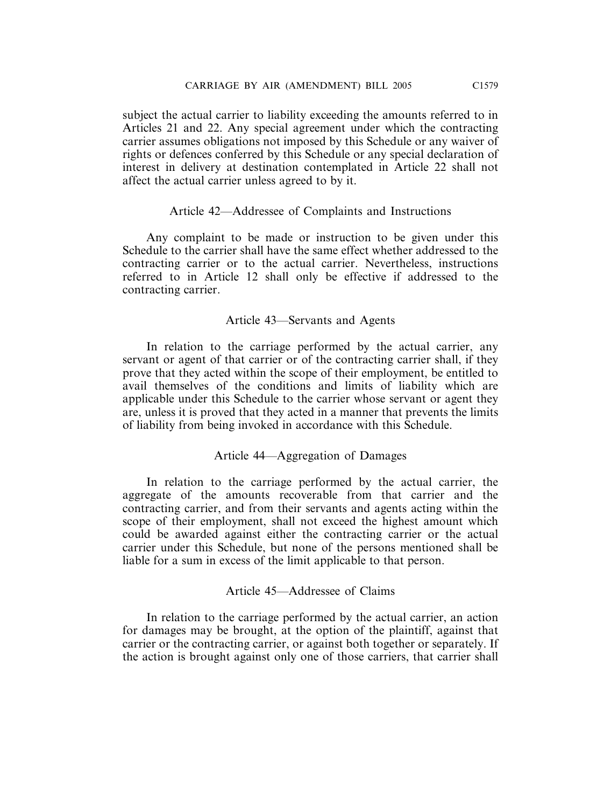subject the actual carrier to liability exceeding the amounts referred to in Articles 21 and 22. Any special agreement under which the contracting carrier assumes obligations not imposed by this Schedule or any waiver of rights or defences conferred by this Schedule or any special declaration of interest in delivery at destination contemplated in Article 22 shall not affect the actual carrier unless agreed to by it.

# Article 42—Addressee of Complaints and Instructions

Any complaint to be made or instruction to be given under this Schedule to the carrier shall have the same effect whether addressed to the contracting carrier or to the actual carrier. Nevertheless, instructions referred to in Article 12 shall only be effective if addressed to the contracting carrier.

# Article 43—Servants and Agents

In relation to the carriage performed by the actual carrier, any servant or agent of that carrier or of the contracting carrier shall, if they prove that they acted within the scope of their employment, be entitled to avail themselves of the conditions and limits of liability which are applicable under this Schedule to the carrier whose servant or agent they are, unless it is proved that they acted in a manner that prevents the limits of liability from being invoked in accordance with this Schedule.

## Article 44—Aggregation of Damages

In relation to the carriage performed by the actual carrier, the aggregate of the amounts recoverable from that carrier and the contracting carrier, and from their servants and agents acting within the scope of their employment, shall not exceed the highest amount which could be awarded against either the contracting carrier or the actual carrier under this Schedule, but none of the persons mentioned shall be liable for a sum in excess of the limit applicable to that person.

## Article 45—Addressee of Claims

In relation to the carriage performed by the actual carrier, an action for damages may be brought, at the option of the plaintiff, against that carrier or the contracting carrier, or against both together or separately. If the action is brought against only one of those carriers, that carrier shall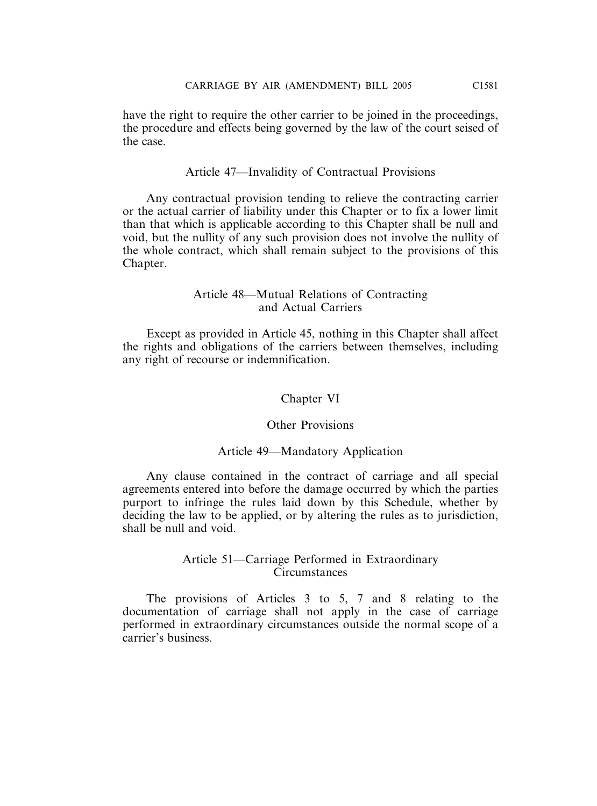have the right to require the other carrier to be joined in the proceedings, the procedure and effects being governed by the law of the court seised of the case.

# Article 47—Invalidity of Contractual Provisions

Any contractual provision tending to relieve the contracting carrier or the actual carrier of liability under this Chapter or to fix a lower limit than that which is applicable according to this Chapter shall be null and void, but the nullity of any such provision does not involve the nullity of the whole contract, which shall remain subject to the provisions of this Chapter.

# Article 48—Mutual Relations of Contracting and Actual Carriers

Except as provided in Article 45, nothing in this Chapter shall affect the rights and obligations of the carriers between themselves, including any right of recourse or indemnification.

# Chapter VI

## Other Provisions

## Article 49—Mandatory Application

Any clause contained in the contract of carriage and all special agreements entered into before the damage occurred by which the parties purport to infringe the rules laid down by this Schedule, whether by deciding the law to be applied, or by altering the rules as to jurisdiction, shall be null and void.

# Article 51—Carriage Performed in Extraordinary Circumstances

The provisions of Articles 3 to 5, 7 and 8 relating to the documentation of carriage shall not apply in the case of carriage performed in extraordinary circumstances outside the normal scope of a carrier's business.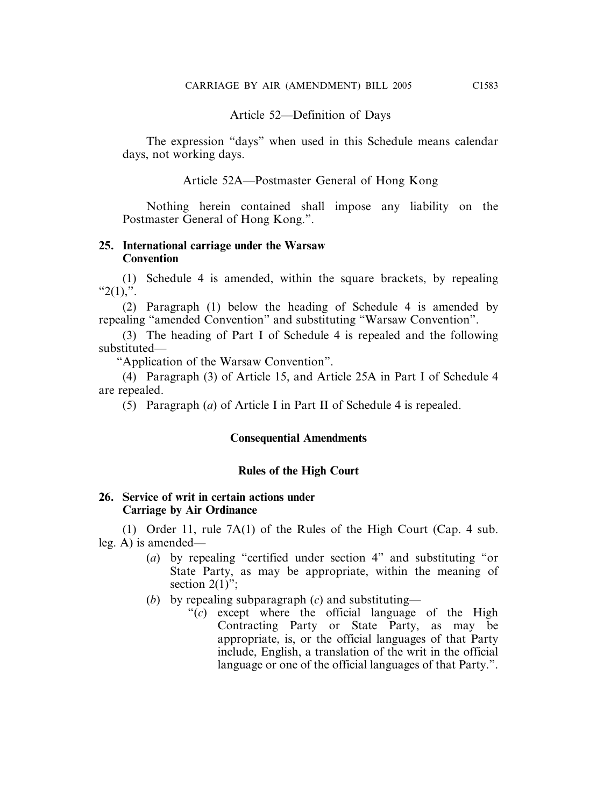# Article 52—Definition of Days

The expression "days" when used in this Schedule means calendar days, not working days.

Article 52A—Postmaster General of Hong Kong

Nothing herein contained shall impose any liability on the Postmaster General of Hong Kong.".

# **25. International carriage under the Warsaw Convention**

(1) Schedule 4 is amended, within the square brackets, by repealing " $2(1)$ ,".

(2) Paragraph (1) below the heading of Schedule 4 is amended by repealing "amended Convention" and substituting "Warsaw Convention".

(3) The heading of Part I of Schedule 4 is repealed and the following substituted—

"Application of the Warsaw Convention".

(4) Paragraph (3) of Article 15, and Article 25A in Part I of Schedule 4 are repealed.

(5) Paragraph (*a*) of Article I in Part II of Schedule 4 is repealed.

# **Consequential Amendments**

## **Rules of the High Court**

## **26. Service of writ in certain actions under Carriage by Air Ordinance**

(1) Order 11, rule 7A(1) of the Rules of the High Court (Cap. 4 sub. leg. A) is amended—

- (*a*) by repealing "certified under section 4" and substituting "or State Party, as may be appropriate, within the meaning of section  $2(1)$ ";
- (*b*) by repealing subparagraph (*c*) and substituting—
	- "(*c*) except where the official language of the High Contracting Party or State Party, as may be appropriate, is, or the official languages of that Party include, English, a translation of the writ in the official language or one of the official languages of that Party.".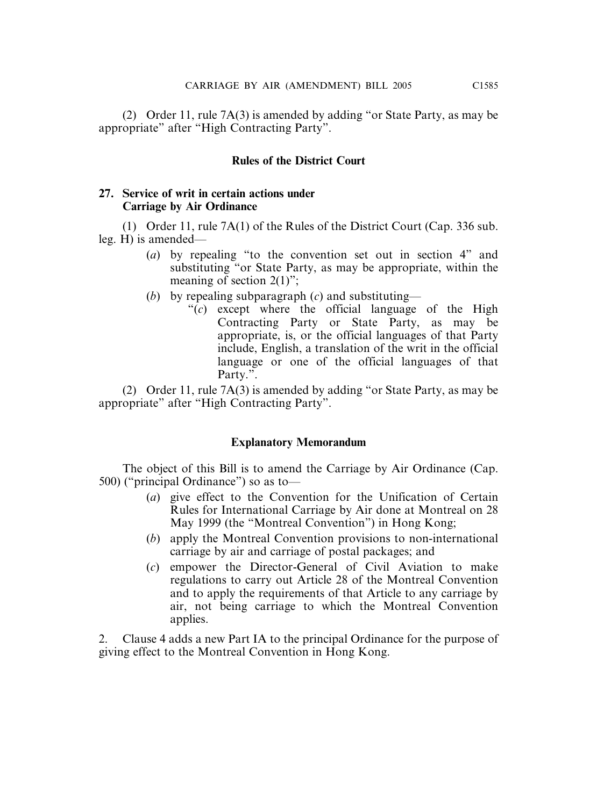(2) Order 11, rule 7A(3) is amended by adding "or State Party, as may be appropriate" after "High Contracting Party".

# **Rules of the District Court**

# **27. Service of writ in certain actions under Carriage by Air Ordinance**

(1) Order 11, rule 7A(1) of the Rules of the District Court (Cap. 336 sub. leg. H) is amended—

- (*a*) by repealing "to the convention set out in section 4" and substituting "or State Party, as may be appropriate, within the meaning of section  $2(1)$ ";
- (*b*) by repealing subparagraph (*c*) and substituting—
	- "(*c*) except where the official language of the High Contracting Party or State Party, as may be appropriate, is, or the official languages of that Party include, English, a translation of the writ in the official language or one of the official languages of that Party.".

(2) Order 11, rule 7A(3) is amended by adding "or State Party, as may be appropriate" after "High Contracting Party".

# **Explanatory Memorandum**

The object of this Bill is to amend the Carriage by Air Ordinance (Cap. 500) ("principal Ordinance") so as to—

- (*a*) give effect to the Convention for the Unification of Certain Rules for International Carriage by Air done at Montreal on 28 May 1999 (the "Montreal Convention") in Hong Kong;
- (*b*) apply the Montreal Convention provisions to non-international carriage by air and carriage of postal packages; and
- (*c*) empower the Director-General of Civil Aviation to make regulations to carry out Article 28 of the Montreal Convention and to apply the requirements of that Article to any carriage by air, not being carriage to which the Montreal Convention applies.

2. Clause 4 adds a new Part IA to the principal Ordinance for the purpose of giving effect to the Montreal Convention in Hong Kong.